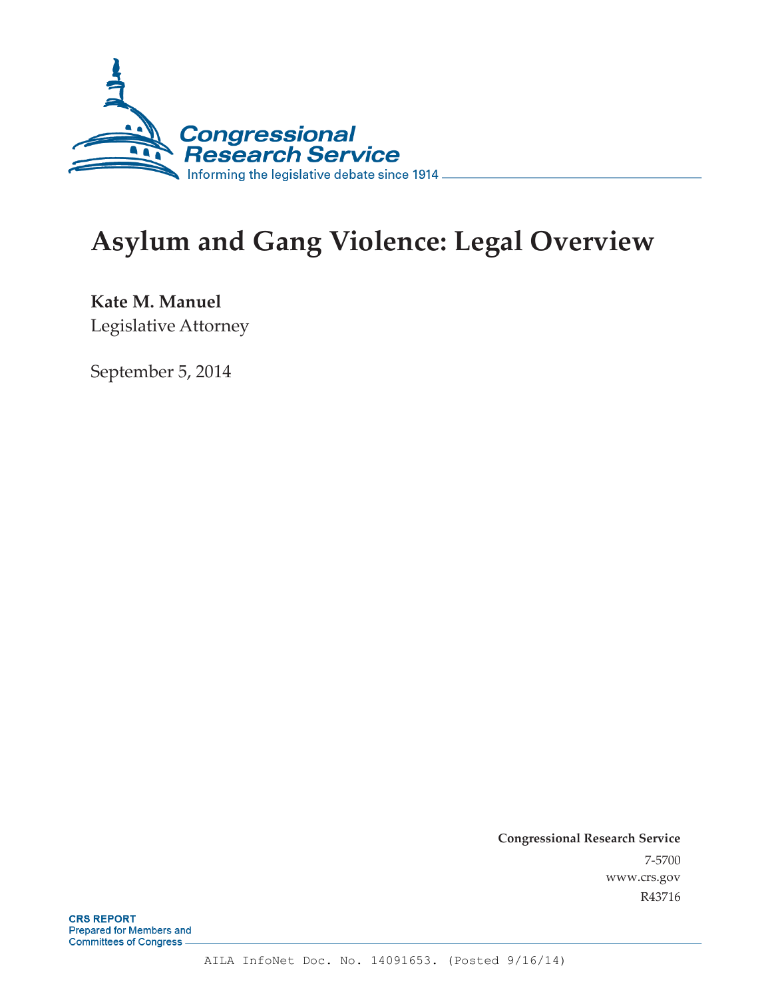

# **Asylum and Gang Violence: Legal Overview**

**Kate M. Manuel**  Legislative Attorney

September 5, 2014

**Congressional Research Service**  7-5700 www.crs.gov R43716

**CRS REPORT** Prepared for Members and **Committees of Congress.**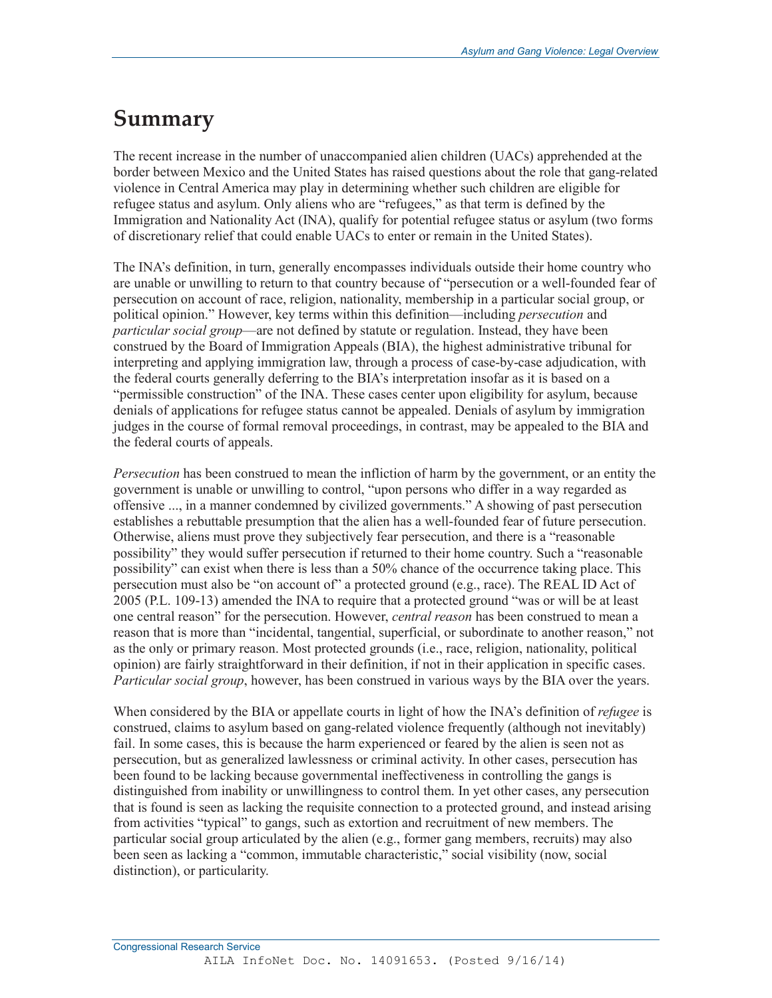## **Summary**

The recent increase in the number of unaccompanied alien children (UACs) apprehended at the border between Mexico and the United States has raised questions about the role that gang-related violence in Central America may play in determining whether such children are eligible for refugee status and asylum. Only aliens who are "refugees," as that term is defined by the Immigration and Nationality Act (INA), qualify for potential refugee status or asylum (two forms of discretionary relief that could enable UACs to enter or remain in the United States).

The INA's definition, in turn, generally encompasses individuals outside their home country who are unable or unwilling to return to that country because of "persecution or a well-founded fear of persecution on account of race, religion, nationality, membership in a particular social group, or political opinion." However, key terms within this definition—including *persecution* and *particular social group*—are not defined by statute or regulation. Instead, they have been construed by the Board of Immigration Appeals (BIA), the highest administrative tribunal for interpreting and applying immigration law, through a process of case-by-case adjudication, with the federal courts generally deferring to the BIA's interpretation insofar as it is based on a "permissible construction" of the INA. These cases center upon eligibility for asylum, because denials of applications for refugee status cannot be appealed. Denials of asylum by immigration judges in the course of formal removal proceedings, in contrast, may be appealed to the BIA and the federal courts of appeals.

*Persecution* has been construed to mean the infliction of harm by the government, or an entity the government is unable or unwilling to control, "upon persons who differ in a way regarded as offensive ..., in a manner condemned by civilized governments." A showing of past persecution establishes a rebuttable presumption that the alien has a well-founded fear of future persecution. Otherwise, aliens must prove they subjectively fear persecution, and there is a "reasonable possibility" they would suffer persecution if returned to their home country. Such a "reasonable possibility" can exist when there is less than a 50% chance of the occurrence taking place. This persecution must also be "on account of" a protected ground (e.g., race). The REAL ID Act of 2005 (P.L. 109-13) amended the INA to require that a protected ground "was or will be at least one central reason" for the persecution. However, *central reason* has been construed to mean a reason that is more than "incidental, tangential, superficial, or subordinate to another reason," not as the only or primary reason. Most protected grounds (i.e., race, religion, nationality, political opinion) are fairly straightforward in their definition, if not in their application in specific cases. *Particular social group*, however, has been construed in various ways by the BIA over the years.

When considered by the BIA or appellate courts in light of how the INA's definition of *refugee* is construed, claims to asylum based on gang-related violence frequently (although not inevitably) fail. In some cases, this is because the harm experienced or feared by the alien is seen not as persecution, but as generalized lawlessness or criminal activity. In other cases, persecution has been found to be lacking because governmental ineffectiveness in controlling the gangs is distinguished from inability or unwillingness to control them. In yet other cases, any persecution that is found is seen as lacking the requisite connection to a protected ground, and instead arising from activities "typical" to gangs, such as extortion and recruitment of new members. The particular social group articulated by the alien (e.g., former gang members, recruits) may also been seen as lacking a "common, immutable characteristic," social visibility (now, social distinction), or particularity.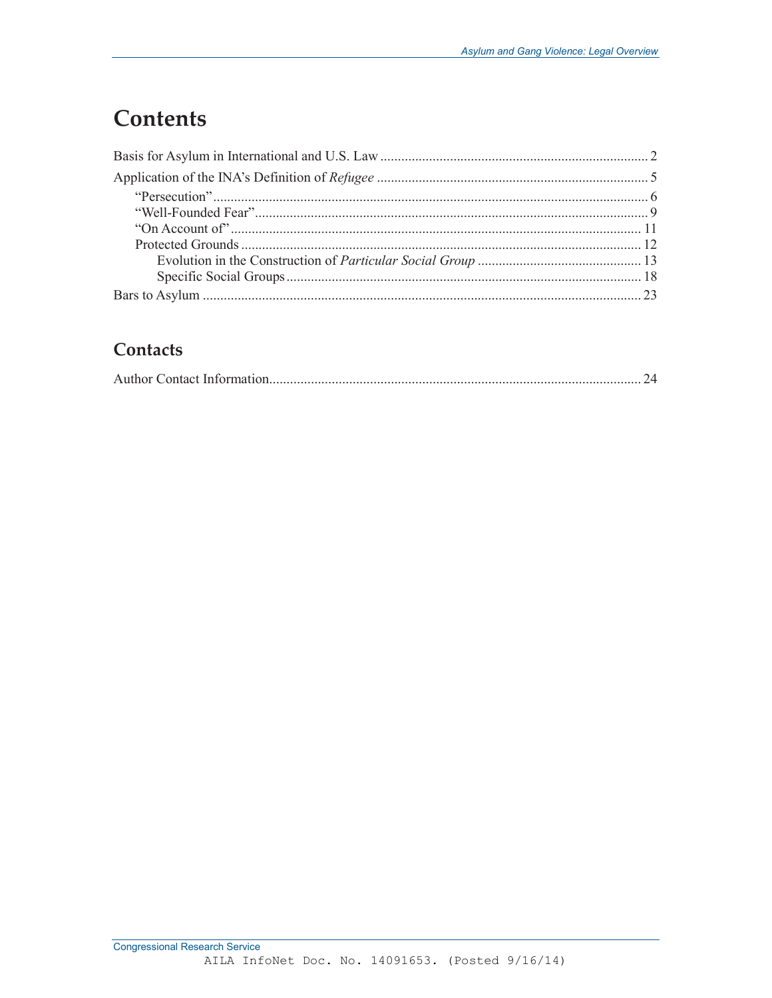## **Contents**

## Contacts

|--|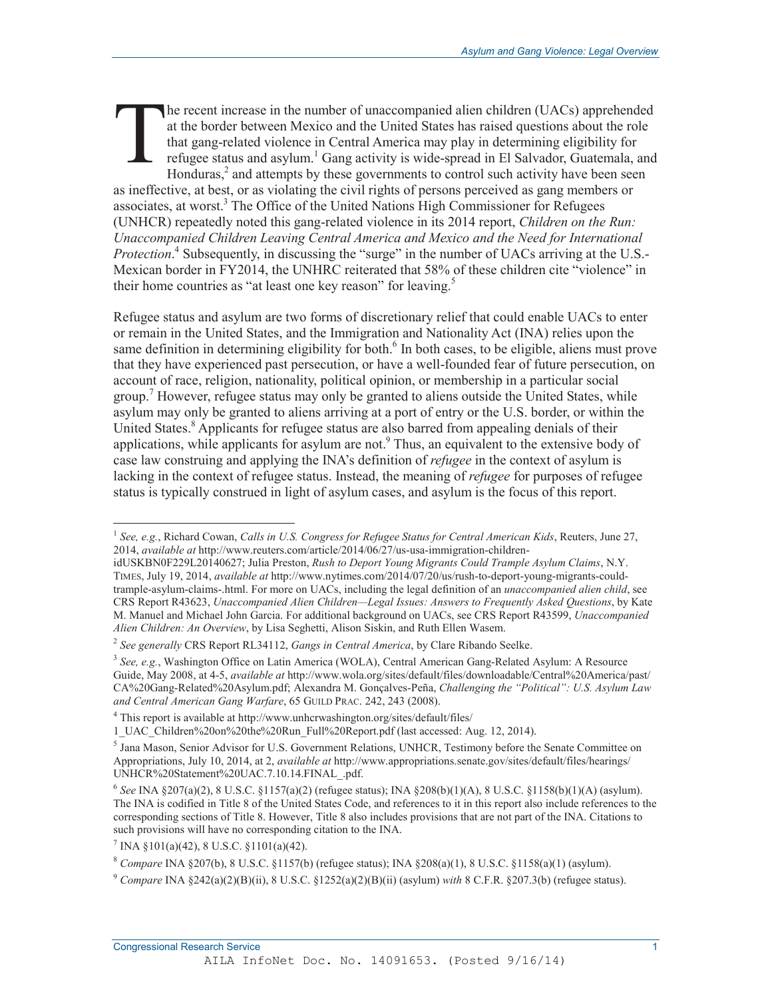he recent increase in the number of unaccompanied alien children (UACs) apprehended at the border between Mexico and the United States has raised questions about the role that gang-related violence in Central America may play in determining eligibility for refugee status and asylum.<sup>1</sup> Gang activity is wide-spread in El Salvador, Guatemala, and Honduras, $<sup>2</sup>$  and attempts by these governments to control such activity have been seen</sup> as ineffective, at best, or as violating the civil rights of persons perceived as gang members or associates, at worst.<sup>3</sup> The Office of the United Nations High Commissioner for Refugees (UNHCR) repeatedly noted this gang-related violence in its 2014 report, *Children on the Run: Unaccompanied Children Leaving Central America and Mexico and the Need for International Protection*.<sup>4</sup> Subsequently, in discussing the "surge" in the number of UACs arriving at the U.S.-Mexican border in FY2014, the UNHRC reiterated that 58% of these children cite "violence" in their home countries as "at least one key reason" for leaving.<sup>5</sup> T

Refugee status and asylum are two forms of discretionary relief that could enable UACs to enter or remain in the United States, and the Immigration and Nationality Act (INA) relies upon the same definition in determining eligibility for both.<sup>6</sup> In both cases, to be eligible, aliens must prove that they have experienced past persecution, or have a well-founded fear of future persecution, on account of race, religion, nationality, political opinion, or membership in a particular social group.<sup>7</sup> However, refugee status may only be granted to aliens outside the United States, while asylum may only be granted to aliens arriving at a port of entry or the U.S. border, or within the United States.<sup>8</sup> Applicants for refugee status are also barred from appealing denials of their applications, while applicants for asylum are not.<sup>9</sup> Thus, an equivalent to the extensive body of case law construing and applying the INA's definition of *refugee* in the context of asylum is lacking in the context of refugee status. Instead, the meaning of *refugee* for purposes of refugee status is typically construed in light of asylum cases, and asylum is the focus of this report.

<sup>1</sup> *See, e.g.*, Richard Cowan, *Calls in U.S. Congress for Refugee Status for Central American Kids*, Reuters, June 27, 2014, *available at* http://www.reuters.com/article/2014/06/27/us-usa-immigration-children-

idUSKBN0F229L20140627; Julia Preston, *Rush to Deport Young Migrants Could Trample Asylum Claims*, N.Y. TIMES, July 19, 2014, *available at* http://www.nytimes.com/2014/07/20/us/rush-to-deport-young-migrants-couldtrample-asylum-claims-.html. For more on UACs, including the legal definition of an *unaccompanied alien child*, see CRS Report R43623, *Unaccompanied Alien Children—Legal Issues: Answers to Frequently Asked Questions*, by Kate M. Manuel and Michael John Garcia. For additional background on UACs, see CRS Report R43599, *Unaccompanied Alien Children: An Overview*, by Lisa Seghetti, Alison Siskin, and Ruth Ellen Wasem.

<sup>2</sup> *See generally* CRS Report RL34112, *Gangs in Central America*, by Clare Ribando Seelke.

<sup>3</sup> *See, e.g.*, Washington Office on Latin America (WOLA), Central American Gang-Related Asylum: A Resource Guide, May 2008, at 4-5, *available at* http://www.wola.org/sites/default/files/downloadable/Central%20America/past/ CA%20Gang-Related%20Asylum.pdf; Alexandra M. Gonçalves-Peña, *Challenging the "Political": U.S. Asylum Law and Central American Gang Warfare*, 65 GUILD PRAC. 242, 243 (2008).

<sup>&</sup>lt;sup>4</sup> This report is available at http://www.unhcrwashington.org/sites/default/files/

<sup>1</sup>\_UAC\_Children%20on%20the%20Run\_Full%20Report.pdf (last accessed: Aug. 12, 2014).

<sup>&</sup>lt;sup>5</sup> Jana Mason, Senior Advisor for U.S. Government Relations, UNHCR, Testimony before the Senate Committee on Appropriations, July 10, 2014, at 2, *available at* http://www.appropriations.senate.gov/sites/default/files/hearings/ UNHCR%20Statement%20UAC.7.10.14.FINAL\_.pdf.

 $6$  *See* INA §207(a)(2), 8 U.S.C. §1157(a)(2) (refugee status); INA §208(b)(1)(A), 8 U.S.C. §1158(b)(1)(A) (asylum). The INA is codified in Title 8 of the United States Code, and references to it in this report also include references to the corresponding sections of Title 8. However, Title 8 also includes provisions that are not part of the INA. Citations to such provisions will have no corresponding citation to the INA.

 $7$  INA  $\S 101(a)(42)$ , 8 U.S.C.  $\S 1101(a)(42)$ .

<sup>8</sup> *Compare* INA §207(b), 8 U.S.C. §1157(b) (refugee status); INA §208(a)(1), 8 U.S.C. §1158(a)(1) (asylum).

<sup>&</sup>lt;sup>9</sup> *Compare* INA  $\S242(a)(2)(B)(ii)$ , 8 U.S.C.  $\S1252(a)(2)(B)(ii)$  (asylum) *with* 8 C.F.R.  $\S207.3(b)$  (refugee status).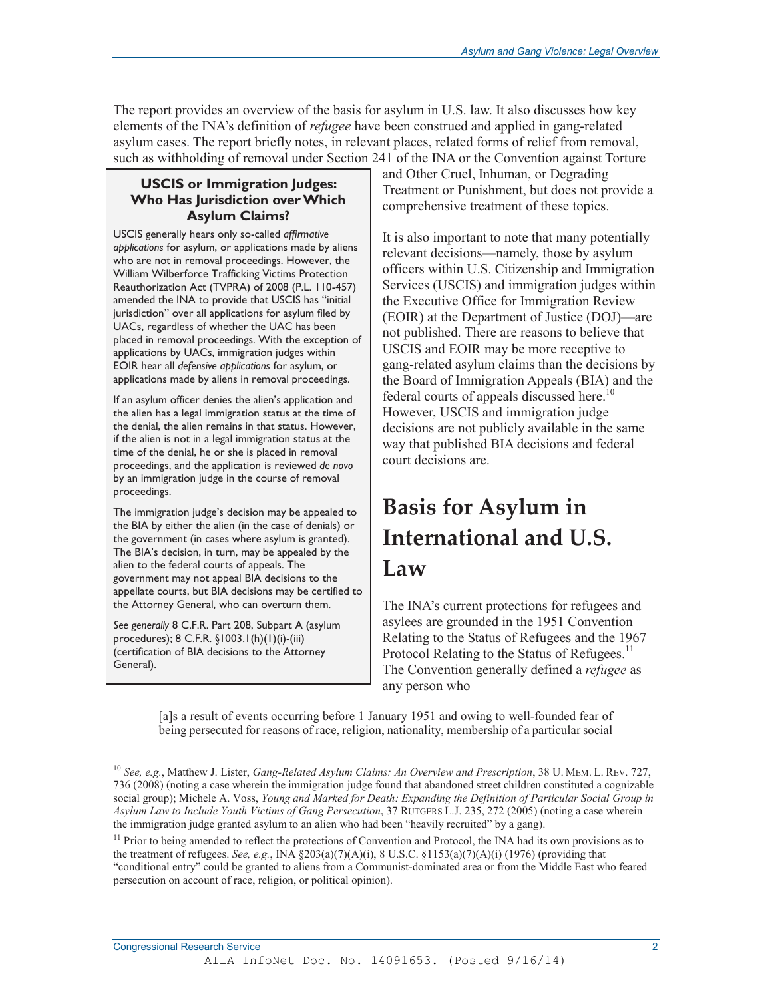The report provides an overview of the basis for asylum in U.S. law. It also discusses how key elements of the INA's definition of *refugee* have been construed and applied in gang-related asylum cases. The report briefly notes, in relevant places, related forms of relief from removal, such as withholding of removal under Section 241 of the INA or the Convention against Torture

### **USCIS or Immigration Judges: Who Has Jurisdiction over Which Asylum Claims?**

USCIS generally hears only so-called *affirmative applications* for asylum, or applications made by aliens who are not in removal proceedings. However, the William Wilberforce Trafficking Victims Protection Reauthorization Act (TVPRA) of 2008 (P.L. 110-457) amended the INA to provide that USCIS has "initial jurisdiction" over all applications for asylum filed by UACs, regardless of whether the UAC has been placed in removal proceedings. With the exception of applications by UACs, immigration judges within EOIR hear all *defensive applications* for asylum, or applications made by aliens in removal proceedings.

If an asylum officer denies the alien's application and the alien has a legal immigration status at the time of the denial, the alien remains in that status. However, if the alien is not in a legal immigration status at the time of the denial, he or she is placed in removal proceedings, and the application is reviewed *de novo* by an immigration judge in the course of removal proceedings.

The immigration judge's decision may be appealed to the BIA by either the alien (in the case of denials) or the government (in cases where asylum is granted). The BIA's decision, in turn, may be appealed by the alien to the federal courts of appeals. The government may not appeal BIA decisions to the appellate courts, but BIA decisions may be certified to the Attorney General, who can overturn them.

*See generally* 8 C.F.R. Part 208, Subpart A (asylum procedures); 8 C.F.R. §1003.1(h)(1)(i)-(iii) (certification of BIA decisions to the Attorney General).

and Other Cruel, Inhuman, or Degrading Treatment or Punishment, but does not provide a comprehensive treatment of these topics.

It is also important to note that many potentially relevant decisions—namely, those by asylum officers within U.S. Citizenship and Immigration Services (USCIS) and immigration judges within the Executive Office for Immigration Review (EOIR) at the Department of Justice (DOJ)—are not published. There are reasons to believe that USCIS and EOIR may be more receptive to gang-related asylum claims than the decisions by the Board of Immigration Appeals (BIA) and the federal courts of appeals discussed here.<sup>10</sup> However, USCIS and immigration judge decisions are not publicly available in the same way that published BIA decisions and federal court decisions are.

## **Basis for Asylum in International and U.S. Law**

The INA's current protections for refugees and asylees are grounded in the 1951 Convention Relating to the Status of Refugees and the 1967 Protocol Relating to the Status of Refugees.<sup>11</sup> The Convention generally defined a *refugee* as any person who

[a]s a result of events occurring before 1 January 1951 and owing to well-founded fear of being persecuted for reasons of race, religion, nationality, membership of a particular social

<sup>-</sup><sup>10</sup> *See, e.g.*, Matthew J. Lister, *Gang-Related Asylum Claims: An Overview and Prescription*, 38 U. MEM. L. REV. 727, 736 (2008) (noting a case wherein the immigration judge found that abandoned street children constituted a cognizable social group); Michele A. Voss, *Young and Marked for Death: Expanding the Definition of Particular Social Group in Asylum Law to Include Youth Victims of Gang Persecution*, 37 RUTGERS L.J. 235, 272 (2005) (noting a case wherein the immigration judge granted asylum to an alien who had been "heavily recruited" by a gang).

<sup>&</sup>lt;sup>11</sup> Prior to being amended to reflect the protections of Convention and Protocol, the INA had its own provisions as to the treatment of refugees. *See, e.g.*, INA  $\S 203(a)(7)(A)(i)$ , 8 U.S.C.  $\S 1153(a)(7)(A)(i)$  (1976) (providing that "conditional entry" could be granted to aliens from a Communist-dominated area or from the Middle East who feared persecution on account of race, religion, or political opinion).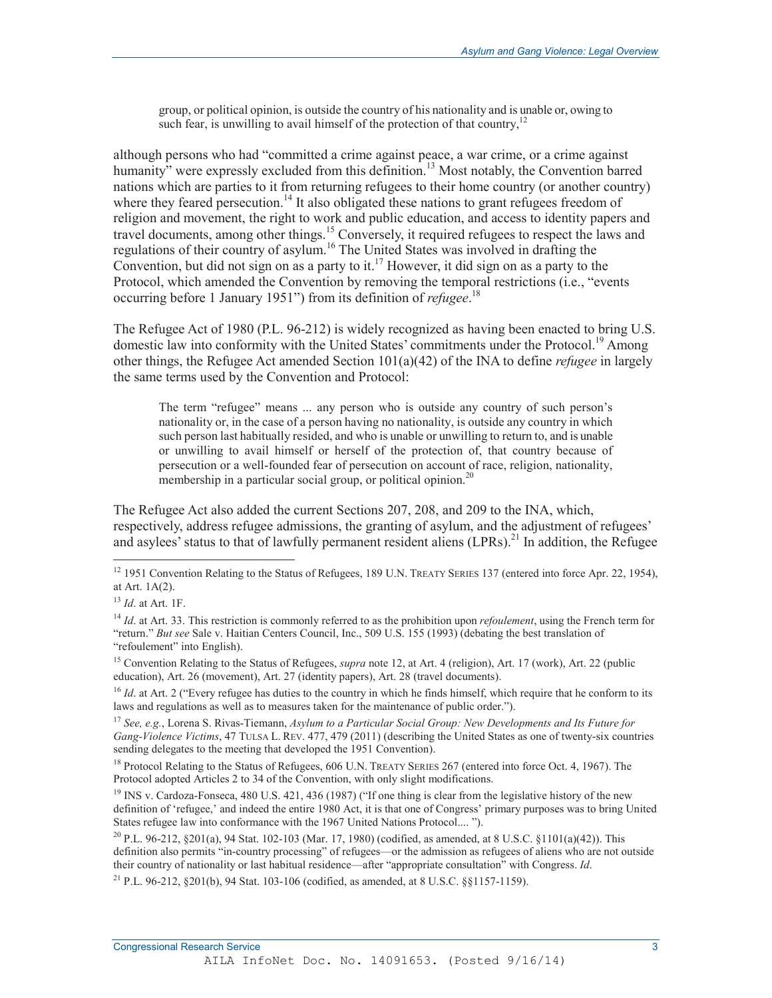group, or political opinion, is outside the country of his nationality and is unable or, owing to such fear, is unwilling to avail himself of the protection of that country, $12$ 

although persons who had "committed a crime against peace, a war crime, or a crime against humanity" were expressly excluded from this definition.<sup>13</sup> Most notably, the Convention barred nations which are parties to it from returning refugees to their home country (or another country) where they feared persecution.<sup>14</sup> It also obligated these nations to grant refugees freedom of religion and movement, the right to work and public education, and access to identity papers and travel documents, among other things.<sup>15</sup> Conversely, it required refugees to respect the laws and regulations of their country of asylum.16 The United States was involved in drafting the Convention, but did not sign on as a party to it.<sup>17</sup> However, it did sign on as a party to the Protocol, which amended the Convention by removing the temporal restrictions (i.e., "events occurring before 1 January 1951") from its definition of *refugee*. 18

The Refugee Act of 1980 (P.L. 96-212) is widely recognized as having been enacted to bring U.S. domestic law into conformity with the United States' commitments under the Protocol.<sup>19</sup> Among other things, the Refugee Act amended Section 101(a)(42) of the INA to define *refugee* in largely the same terms used by the Convention and Protocol:

The term "refugee" means ... any person who is outside any country of such person's nationality or, in the case of a person having no nationality, is outside any country in which such person last habitually resided, and who is unable or unwilling to return to, and is unable or unwilling to avail himself or herself of the protection of, that country because of persecution or a well-founded fear of persecution on account of race, religion, nationality, membership in a particular social group, or political opinion.<sup>20</sup>

The Refugee Act also added the current Sections 207, 208, and 209 to the INA, which, respectively, address refugee admissions, the granting of asylum, and the adjustment of refugees' and asylees' status to that of lawfully permanent resident aliens (LPRs).<sup>21</sup> In addition, the Refugee

-

<sup>15</sup> Convention Relating to the Status of Refugees, *supra* note 12, at Art. 4 (religion), Art. 17 (work), Art. 22 (public education), Art. 26 (movement), Art. 27 (identity papers), Art. 28 (travel documents).

<sup>16</sup> *Id.* at Art. 2 ("Every refugee has duties to the country in which he finds himself, which require that he conform to its laws and regulations as well as to measures taken for the maintenance of public order.").

<sup>17</sup> *See, e.g.*, Lorena S. Rivas-Tiemann, *Asylum to a Particular Social Group: New Developments and Its Future for Gang-Violence Victims*, 47 TULSA L. REV. 477, 479 (2011) (describing the United States as one of twenty-six countries sending delegates to the meeting that developed the 1951 Convention).

<sup>18</sup> Protocol Relating to the Status of Refugees, 606 U.N. TREATY SERIES 267 (entered into force Oct. 4, 1967). The Protocol adopted Articles 2 to 34 of the Convention, with only slight modifications.

<sup>19</sup> INS v. Cardoza-Fonseca, 480 U.S. 421, 436 (1987) ("If one thing is clear from the legislative history of the new definition of 'refugee,' and indeed the entire 1980 Act, it is that one of Congress' primary purposes was to bring United States refugee law into conformance with the 1967 United Nations Protocol.... ").

<sup>20</sup> P.L. 96-212, §201(a), 94 Stat. 102-103 (Mar. 17, 1980) (codified, as amended, at 8 U.S.C. §1101(a)(42)). This definition also permits "in-country processing" of refugees—or the admission as refugees of aliens who are not outside their country of nationality or last habitual residence—after "appropriate consultation" with Congress. *Id*.

21 P.L. 96-212, §201(b), 94 Stat. 103-106 (codified, as amended, at 8 U.S.C. §§1157-1159).

 $12$  1951 Convention Relating to the Status of Refugees, 189 U.N. TREATY SERIES 137 (entered into force Apr. 22, 1954), at Art. 1A(2).

<sup>13</sup> *Id*. at Art. 1F.

<sup>&</sup>lt;sup>14</sup> *Id.* at Art. 33. This restriction is commonly referred to as the prohibition upon *refoulement*, using the French term for "return." *But see* Sale v. Haitian Centers Council, Inc., 509 U.S. 155 (1993) (debating the best translation of "refoulement" into English).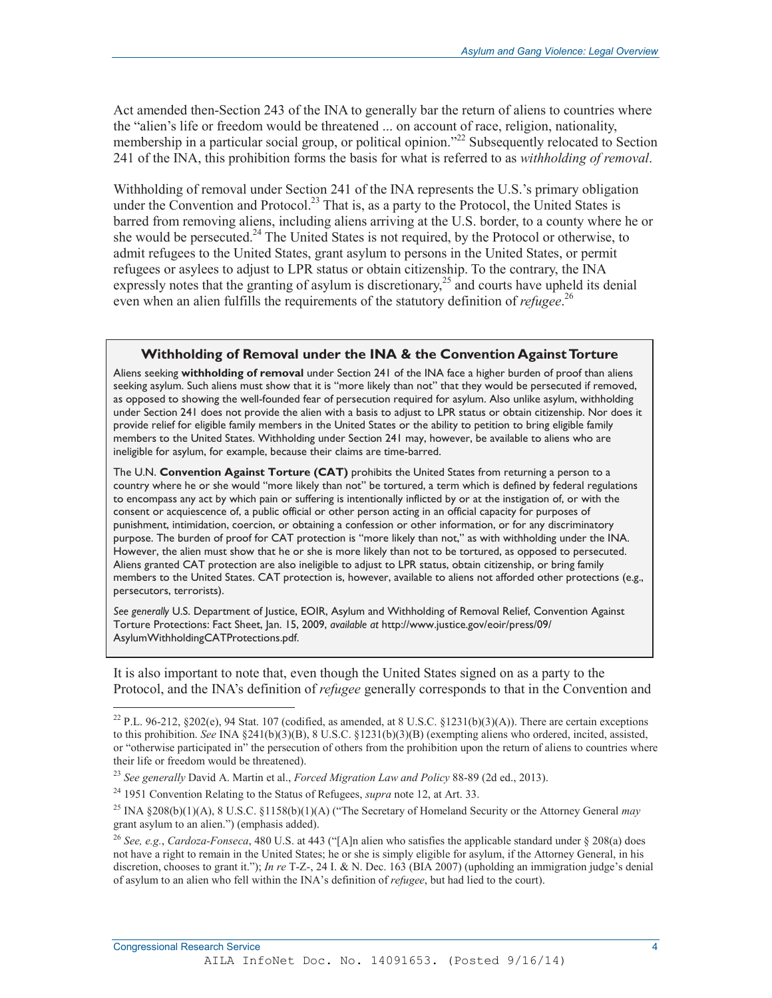Act amended then-Section 243 of the INA to generally bar the return of aliens to countries where the "alien's life or freedom would be threatened ... on account of race, religion, nationality, membership in a particular social group, or political opinion."<sup>22</sup> Subsequently relocated to Section 241 of the INA, this prohibition forms the basis for what is referred to as *withholding of removal*.

Withholding of removal under Section 241 of the INA represents the U.S.'s primary obligation under the Convention and Protocol.<sup>23</sup> That is, as a party to the Protocol, the United States is barred from removing aliens, including aliens arriving at the U.S. border, to a county where he or she would be persecuted.<sup>24</sup> The United States is not required, by the Protocol or otherwise, to admit refugees to the United States, grant asylum to persons in the United States, or permit refugees or asylees to adjust to LPR status or obtain citizenship. To the contrary, the INA expressly notes that the granting of asylum is discretionary, $^{25}$  and courts have upheld its denial even when an alien fulfills the requirements of the statutory definition of *refugee*. 26

#### **Withholding of Removal under the INA & the Convention Against Torture**

Aliens seeking **withholding of removal** under Section 241 of the INA face a higher burden of proof than aliens seeking asylum. Such aliens must show that it is "more likely than not" that they would be persecuted if removed, as opposed to showing the well-founded fear of persecution required for asylum. Also unlike asylum, withholding under Section 241 does not provide the alien with a basis to adjust to LPR status or obtain citizenship. Nor does it provide relief for eligible family members in the United States or the ability to petition to bring eligible family members to the United States. Withholding under Section 241 may, however, be available to aliens who are ineligible for asylum, for example, because their claims are time-barred.

The U.N. **Convention Against Torture (CAT)** prohibits the United States from returning a person to a country where he or she would "more likely than not" be tortured, a term which is defined by federal regulations to encompass any act by which pain or suffering is intentionally inflicted by or at the instigation of, or with the consent or acquiescence of, a public official or other person acting in an official capacity for purposes of punishment, intimidation, coercion, or obtaining a confession or other information, or for any discriminatory .<br>purpose. The burden of proof for CAT protection is "more likely than not," as with withholding under the INA. However, the alien must show that he or she is more likely than not to be tortured, as opposed to persecuted. Aliens granted CAT protection are also ineligible to adjust to LPR status, obtain citizenship, or bring family members to the United States. CAT protection is, however, available to aliens not afforded other protections (e.g., persecutors, terrorists).

*See generally* U.S. Department of Justice, EOIR, Asylum and Withholding of Removal Relief, Convention Against Torture Protections: Fact Sheet, Jan. 15, 2009, *available at* http://www.justice.gov/eoir/press/09/ AsylumWithholdingCATProtections.pdf.

It is also important to note that, even though the United States signed on as a party to the Protocol, and the INA's definition of *refugee* generally corresponds to that in the Convention and

<sup>&</sup>lt;sup>22</sup> P.L. 96-212, §202(e), 94 Stat. 107 (codified, as amended, at 8 U.S.C. §1231(b)(3)(A)). There are certain exceptions to this prohibition. *See* INA §241(b)(3)(B), 8 U.S.C. §1231(b)(3)(B) (exempting aliens who ordered, incited, assisted, or "otherwise participated in" the persecution of others from the prohibition upon the return of aliens to countries where their life or freedom would be threatened).

<sup>23</sup> *See generally* David A. Martin et al., *Forced Migration Law and Policy* 88-89 (2d ed., 2013).

<sup>24 1951</sup> Convention Relating to the Status of Refugees, *supra* note 12, at Art. 33.

<sup>25</sup> INA §208(b)(1)(A), 8 U.S.C. §1158(b)(1)(A) ("The Secretary of Homeland Security or the Attorney General *may* grant asylum to an alien.") (emphasis added).

<sup>26</sup> *See, e.g.*, *Cardoza-Fonseca*, 480 U.S. at 443 ("[A]n alien who satisfies the applicable standard under § 208(a) does not have a right to remain in the United States; he or she is simply eligible for asylum, if the Attorney General, in his discretion, chooses to grant it."); *In re* T-Z-, 24 I. & N. Dec. 163 (BIA 2007) (upholding an immigration judge's denial of asylum to an alien who fell within the INA's definition of *refugee*, but had lied to the court).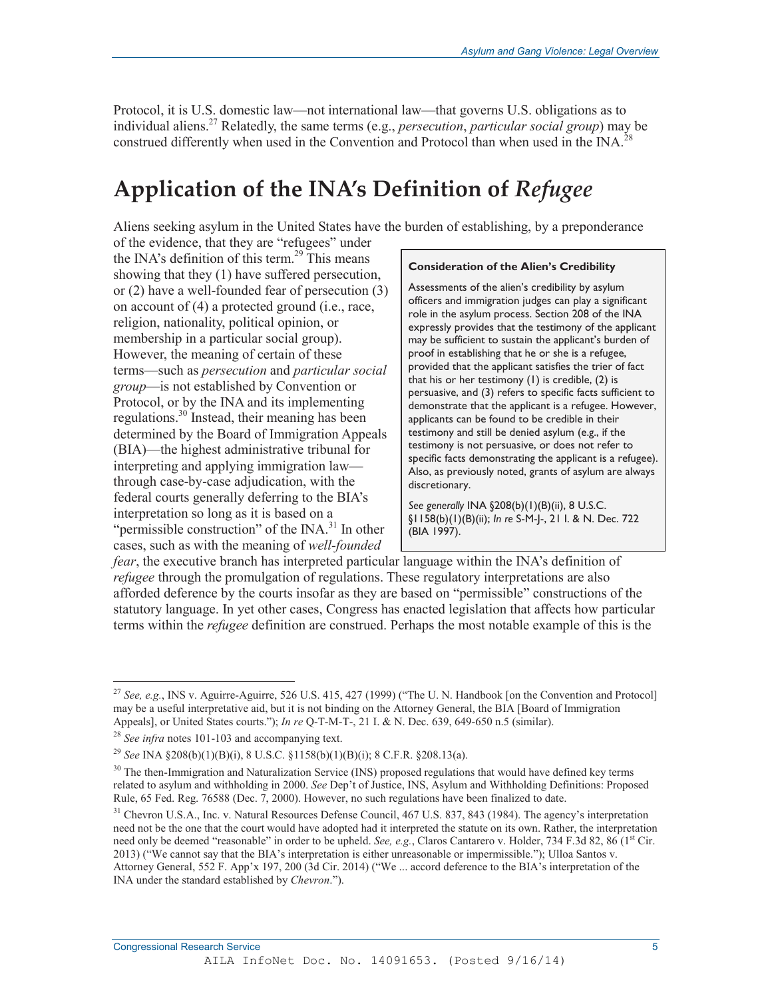Protocol, it is U.S. domestic law—not international law—that governs U.S. obligations as to individual aliens.27 Relatedly, the same terms (e.g., *persecution*, *particular social group*) may be construed differently when used in the Convention and Protocol than when used in the INA.<sup>28</sup>

## **Application of the INA's Definition of** *Refugee*

Aliens seeking asylum in the United States have the burden of establishing, by a preponderance

of the evidence, that they are "refugees" under the INA's definition of this term.<sup>29</sup> This means showing that they (1) have suffered persecution, or (2) have a well-founded fear of persecution (3) on account of (4) a protected ground (i.e., race, religion, nationality, political opinion, or membership in a particular social group). However, the meaning of certain of these terms—such as *persecution* and *particular social group*—is not established by Convention or Protocol, or by the INA and its implementing regulations.30 Instead, their meaning has been determined by the Board of Immigration Appeals (BIA)—the highest administrative tribunal for interpreting and applying immigration law through case-by-case adjudication, with the federal courts generally deferring to the BIA's interpretation so long as it is based on a "permissible construction" of the  $\text{INA.}^{31}$  In other cases, such as with the meaning of *well-founded* 

#### **Consideration of the Alien's Credibility**

Assessments of the alien's credibility by asylum officers and immigration judges can play a significant role in the asylum process. Section 208 of the INA expressly provides that the testimony of the applicant may be sufficient to sustain the applicant's burden of proof in establishing that he or she is a refugee, provided that the applicant satisfies the trier of fact that his or her testimony (1) is credible, (2) is persuasive, and (3) refers to specific facts sufficient to demonstrate that the applicant is a refugee. However, applicants can be found to be credible in their testimony and still be denied asylum (e.g., if the testimony is not persuasive, or does not refer to specific facts demonstrating the applicant is a refugee). Also, as previously noted, grants of asylum are always discretionary.

*See generally* INA §208(b)(1)(B)(ii), 8 U.S.C. §1158(b)(1)(B)(ii); *In re* S-M-J-, 21 I. & N. Dec. 722 (BIA 1997).

*fear*, the executive branch has interpreted particular language within the INA's definition of *refugee* through the promulgation of regulations. These regulatory interpretations are also afforded deference by the courts insofar as they are based on "permissible" constructions of the statutory language. In yet other cases, Congress has enacted legislation that affects how particular terms within the *refugee* definition are construed. Perhaps the most notable example of this is the

 $\overline{a}$ 

<sup>&</sup>lt;sup>27</sup> *See, e.g.*, INS v. Aguirre-Aguirre, 526 U.S. 415, 427 (1999) ("The U.N. Handbook [on the Convention and Protocol] may be a useful interpretative aid, but it is not binding on the Attorney General, the BIA [Board of Immigration Appeals], or United States courts."); *In re* Q-T-M-T-, 21 I. & N. Dec. 639, 649-650 n.5 (similar).

<sup>28</sup> *See infra* notes 101-103 and accompanying text.

<sup>29</sup> *See* INA §208(b)(1)(B)(i), 8 U.S.C. §1158(b)(1)(B)(i); 8 C.F.R. §208.13(a).

 $30$  The then-Immigration and Naturalization Service (INS) proposed regulations that would have defined key terms related to asylum and withholding in 2000. *See* Dep't of Justice, INS, Asylum and Withholding Definitions: Proposed Rule, 65 Fed. Reg. 76588 (Dec. 7, 2000). However, no such regulations have been finalized to date.

<sup>&</sup>lt;sup>31</sup> Chevron U.S.A., Inc. v. Natural Resources Defense Council, 467 U.S. 837, 843 (1984). The agency's interpretation need not be the one that the court would have adopted had it interpreted the statute on its own. Rather, the interpretation need only be deemed "reasonable" in order to be upheld. *See, e.g.*, Claros Cantarero v. Holder, 734 F.3d 82, 86 (1<sup>st</sup> Cir. 2013) ("We cannot say that the BIA's interpretation is either unreasonable or impermissible."); Ulloa Santos v. Attorney General, 552 F. App'x 197, 200 (3d Cir. 2014) ("We ... accord deference to the BIA's interpretation of the INA under the standard established by *Chevron*.").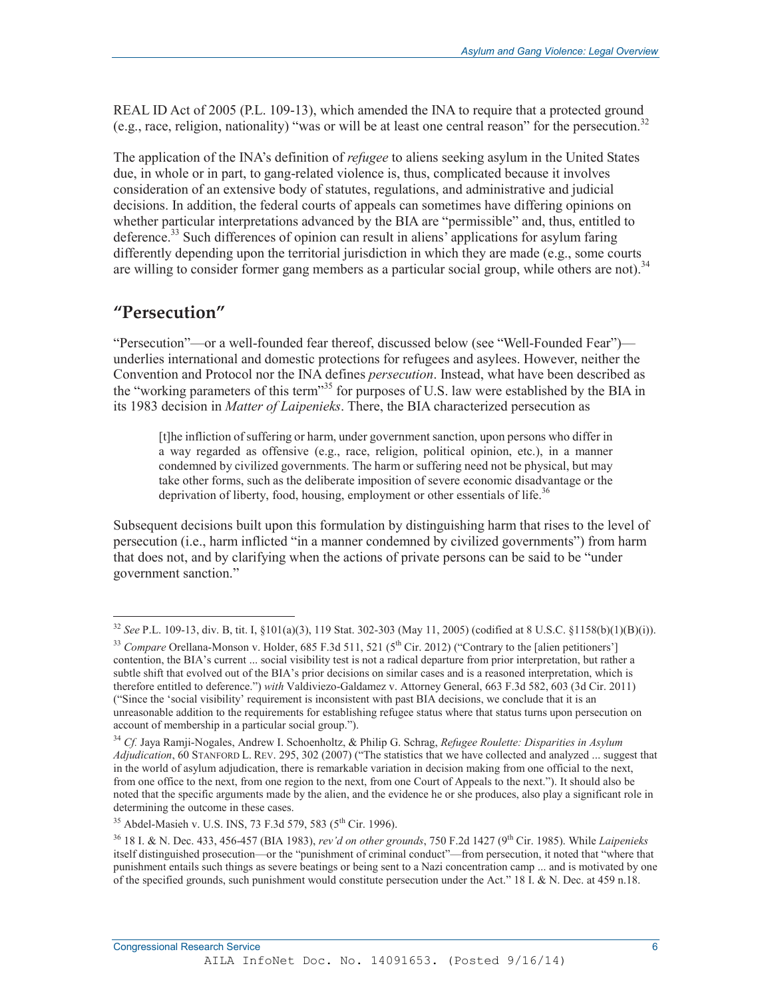REAL ID Act of 2005 (P.L. 109-13), which amended the INA to require that a protected ground (e.g., race, religion, nationality) "was or will be at least one central reason" for the persecution.32

The application of the INA's definition of *refugee* to aliens seeking asylum in the United States due, in whole or in part, to gang-related violence is, thus, complicated because it involves consideration of an extensive body of statutes, regulations, and administrative and judicial decisions. In addition, the federal courts of appeals can sometimes have differing opinions on whether particular interpretations advanced by the BIA are "permissible" and, thus, entitled to deference.<sup>33</sup> Such differences of opinion can result in aliens' applications for asylum faring differently depending upon the territorial jurisdiction in which they are made (e.g., some courts are willing to consider former gang members as a particular social group, while others are not).<sup>34</sup>

## **"Persecution"**

 $\overline{a}$ 

"Persecution"—or a well-founded fear thereof, discussed below (see "Well-Founded Fear") underlies international and domestic protections for refugees and asylees. However, neither the Convention and Protocol nor the INA defines *persecution*. Instead, what have been described as the "working parameters of this term"<sup>35</sup> for purposes of U.S. law were established by the BIA in its 1983 decision in *Matter of Laipenieks*. There, the BIA characterized persecution as

[t]he infliction of suffering or harm, under government sanction, upon persons who differ in a way regarded as offensive (e.g., race, religion, political opinion, etc.), in a manner condemned by civilized governments. The harm or suffering need not be physical, but may take other forms, such as the deliberate imposition of severe economic disadvantage or the deprivation of liberty, food, housing, employment or other essentials of life.<sup>36</sup>

Subsequent decisions built upon this formulation by distinguishing harm that rises to the level of persecution (i.e., harm inflicted "in a manner condemned by civilized governments") from harm that does not, and by clarifying when the actions of private persons can be said to be "under government sanction."

<sup>32</sup> *See* P.L. 109-13, div. B, tit. I, §101(a)(3), 119 Stat. 302-303 (May 11, 2005) (codified at 8 U.S.C. §1158(b)(1)(B)(i)).

<sup>&</sup>lt;sup>33</sup> *Compare* Orellana-Monson v. Holder, 685 F.3d 511, 521 (5<sup>th</sup> Cir. 2012) ("Contrary to the [alien petitioners'] contention, the BIA's current ... social visibility test is not a radical departure from prior interpretation, but rather a subtle shift that evolved out of the BIA's prior decisions on similar cases and is a reasoned interpretation, which is therefore entitled to deference.") *with* Valdiviezo-Galdamez v. Attorney General, 663 F.3d 582, 603 (3d Cir. 2011) ("Since the 'social visibility' requirement is inconsistent with past BIA decisions, we conclude that it is an unreasonable addition to the requirements for establishing refugee status where that status turns upon persecution on account of membership in a particular social group.").

<sup>34</sup> *Cf.* Jaya Ramji-Nogales, Andrew I. Schoenholtz, & Philip G. Schrag, *Refugee Roulette: Disparities in Asylum Adjudication*, 60 STANFORD L. REV. 295, 302 (2007) ("The statistics that we have collected and analyzed ... suggest that in the world of asylum adjudication, there is remarkable variation in decision making from one official to the next, from one office to the next, from one region to the next, from one Court of Appeals to the next."). It should also be noted that the specific arguments made by the alien, and the evidence he or she produces, also play a significant role in determining the outcome in these cases.

<sup>&</sup>lt;sup>35</sup> Abdel-Masieh v. U.S. INS, 73 F.3d 579, 583 (5<sup>th</sup> Cir. 1996).

<sup>36 18</sup> I. & N. Dec. 433, 456-457 (BIA 1983), *rev'd on other grounds*, 750 F.2d 1427 (9th Cir. 1985). While *Laipenieks*  itself distinguished prosecution—or the "punishment of criminal conduct"—from persecution, it noted that "where that punishment entails such things as severe beatings or being sent to a Nazi concentration camp ... and is motivated by one of the specified grounds, such punishment would constitute persecution under the Act." 18  $\hat{L}$  & N. Dec. at 459 n.18.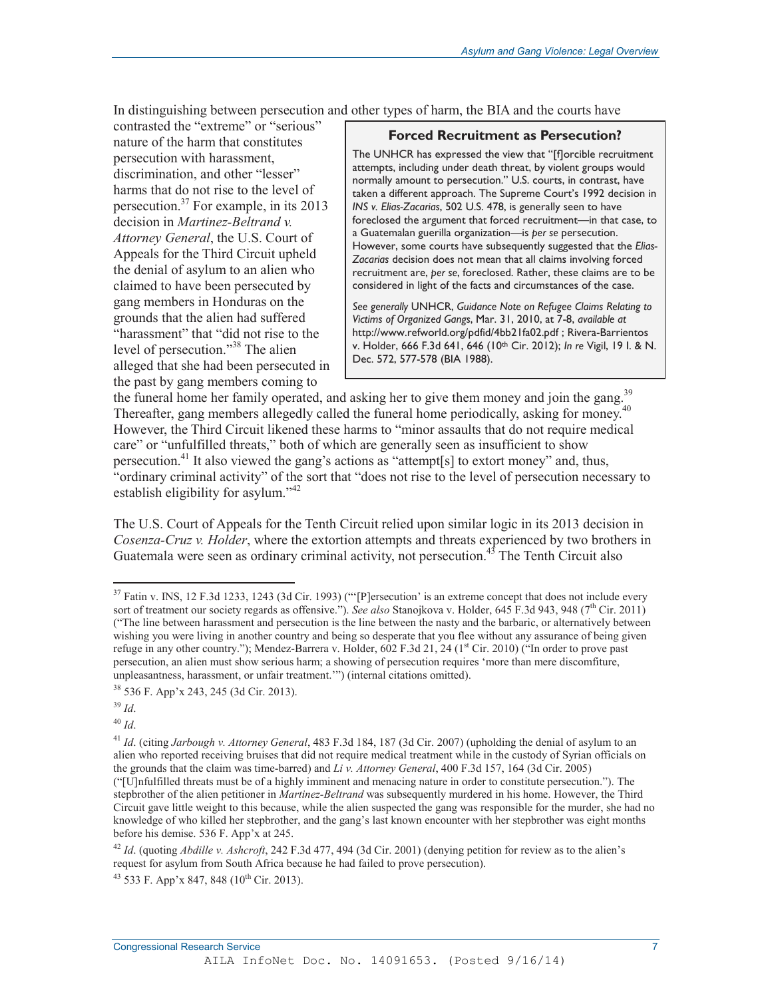In distinguishing between persecution and other types of harm, the BIA and the courts have

contrasted the "extreme" or "serious" nature of the harm that constitutes persecution with harassment, discrimination, and other "lesser" harms that do not rise to the level of persecution.37 For example, in its 2013 decision in *Martinez-Beltrand v. Attorney General*, the U.S. Court of Appeals for the Third Circuit upheld the denial of asylum to an alien who claimed to have been persecuted by gang members in Honduras on the grounds that the alien had suffered "harassment" that "did not rise to the level of persecution."38 The alien alleged that she had been persecuted in the past by gang members coming to

#### **Forced Recruitment as Persecution?**

The UNHCR has expressed the view that "[f]orcible recruitment attempts, including under death threat, by violent groups would normally amount to persecution." U.S. courts, in contrast, have taken a different approach. The Supreme Court's 1992 decision in *INS v. Elias-Zacarias*, 502 U.S. 478, is generally seen to have foreclosed the argument that forced recruitment—in that case, to a Guatemalan guerilla organization—is *per se* persecution. However, some courts have subsequently suggested that the *Elias-Zacarias* decision does not mean that all claims involving forced recruitment are, *per se*, foreclosed. Rather, these claims are to be considered in light of the facts and circumstances of the case.

*See generally* UNHCR, *Guidance Note on Refugee Claims Relating to Victims of Organized Gangs*, Mar. 31, 2010, at 7-8, *available at*  http://www.refworld.org/pdfid/4bb21fa02.pdf ; Rivera-Barrientos v. Holder, 666 F.3d 641, 646 (10th Cir. 2012); *In re* Vigil, 19 I. & N. Dec. 572, 577-578 (BIA 1988).

the funeral home her family operated, and asking her to give them money and join the gang.<sup>39</sup> Thereafter, gang members allegedly called the funeral home periodically, asking for money.<sup>40</sup> However, the Third Circuit likened these harms to "minor assaults that do not require medical care" or "unfulfilled threats," both of which are generally seen as insufficient to show persecution.<sup>41</sup> It also viewed the gang's actions as "attempt[s] to extort money" and, thus, "ordinary criminal activity" of the sort that "does not rise to the level of persecution necessary to establish eligibility for asylum."<sup>42</sup>

The U.S. Court of Appeals for the Tenth Circuit relied upon similar logic in its 2013 decision in *Cosenza-Cruz v. Holder*, where the extortion attempts and threats experienced by two brothers in Guatemala were seen as ordinary criminal activity, not persecution.<sup>45</sup> The Tenth Circuit also

 $\overline{a}$ 

<sup>40</sup> *Id*.

 $37$  Fatin v. INS, 12 F.3d 1233, 1243 (3d Cir. 1993) ("[P]ersecution' is an extreme concept that does not include every sort of treatment our society regards as offensive."). *See also* Stanojkova v. Holder, 645 F.3d 943, 948 (7<sup>th</sup> Cir. 2011) ("The line between harassment and persecution is the line between the nasty and the barbaric, or alternatively between wishing you were living in another country and being so desperate that you flee without any assurance of being given refuge in any other country."); Mendez-Barrera v. Holder,  $602$  F.3d 21, 24 ( $1<sup>st</sup>$  Cir. 2010) ("In order to prove past persecution, an alien must show serious harm; a showing of persecution requires 'more than mere discomfiture, unpleasantness, harassment, or unfair treatment.'") (internal citations omitted).

<sup>38 536</sup> F. App'x 243, 245 (3d Cir. 2013).

<sup>39</sup> *Id*.

<sup>41</sup> *Id*. (citing *Jarbough v. Attorney General*, 483 F.3d 184, 187 (3d Cir. 2007) (upholding the denial of asylum to an alien who reported receiving bruises that did not require medical treatment while in the custody of Syrian officials on the grounds that the claim was time-barred) and *Li v. Attorney General*, 400 F.3d 157, 164 (3d Cir. 2005) ("[U]nfulfilled threats must be of a highly imminent and menacing nature in order to constitute persecution."). The stepbrother of the alien petitioner in *Martinez-Beltrand* was subsequently murdered in his home. However, the Third Circuit gave little weight to this because, while the alien suspected the gang was responsible for the murder, she had no knowledge of who killed her stepbrother, and the gang's last known encounter with her stepbrother was eight months before his demise. 536 F. App'x at 245.

<sup>42</sup> *Id*. (quoting *Abdille v. Ashcroft*, 242 F.3d 477, 494 (3d Cir. 2001) (denying petition for review as to the alien's request for asylum from South Africa because he had failed to prove persecution).

 $43$  533 F. App'x 847, 848 (10<sup>th</sup> Cir. 2013).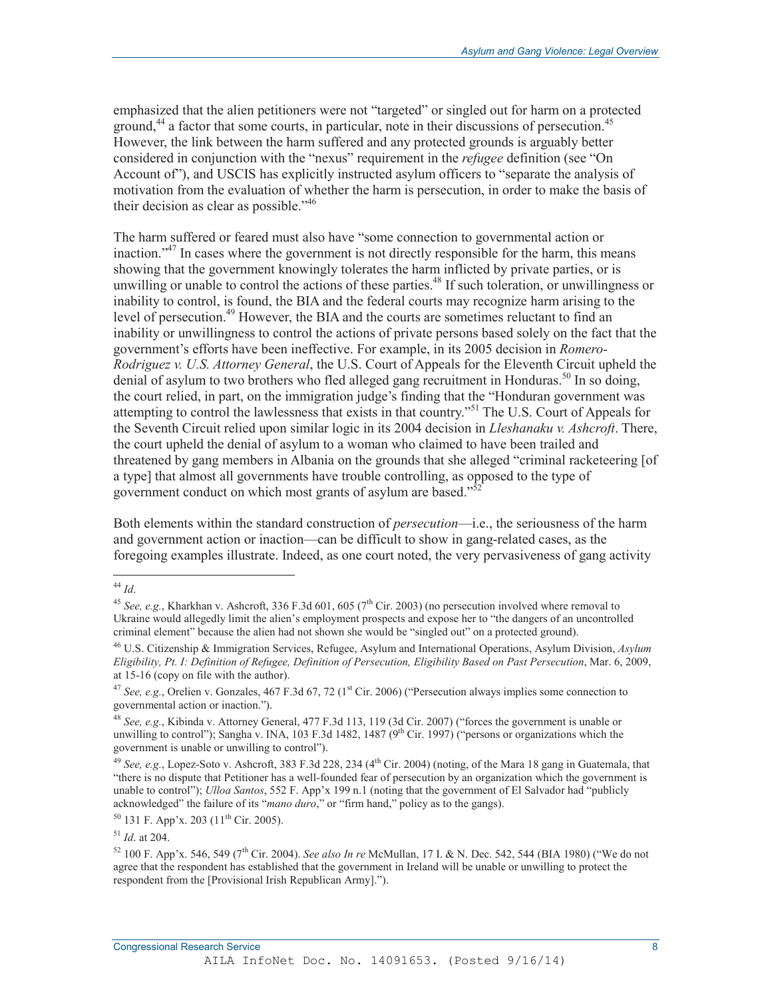emphasized that the alien petitioners were not "targeted" or singled out for harm on a protected ground,<sup>44</sup> a factor that some courts, in particular, note in their discussions of persecution.<sup>45</sup> However, the link between the harm suffered and any protected grounds is arguably better considered in conjunction with the "nexus" requirement in the *refugee* definition (see "On Account of"), and USCIS has explicitly instructed asylum officers to "separate the analysis of motivation from the evaluation of whether the harm is persecution, in order to make the basis of their decision as clear as possible."<sup>46</sup>

The harm suffered or feared must also have "some connection to governmental action or inaction."<sup>47</sup> In cases where the government is not directly responsible for the harm, this means showing that the government knowingly tolerates the harm inflicted by private parties, or is unwilling or unable to control the actions of these parties.<sup>48</sup> If such toleration, or unwillingness or inability to control, is found, the BIA and the federal courts may recognize harm arising to the level of persecution.<sup>49</sup> However, the BIA and the courts are sometimes reluctant to find an inability or unwillingness to control the actions of private persons based solely on the fact that the government's efforts have been ineffective. For example, in its 2005 decision in *Romero-Rodriguez v. U.S. Attorney General*, the U.S. Court of Appeals for the Eleventh Circuit upheld the denial of asylum to two brothers who fled alleged gang recruitment in Honduras.<sup>50</sup> In so doing, the court relied, in part, on the immigration judge's finding that the "Honduran government was attempting to control the lawlessness that exists in that country."51 The U.S. Court of Appeals for the Seventh Circuit relied upon similar logic in its 2004 decision in *Lleshanaku v. Ashcroft*. There, the court upheld the denial of asylum to a woman who claimed to have been trailed and threatened by gang members in Albania on the grounds that she alleged "criminal racketeering [of a type] that almost all governments have trouble controlling, as opposed to the type of government conduct on which most grants of asylum are based."

Both elements within the standard construction of *persecution*—i.e., the seriousness of the harm and government action or inaction—can be difficult to show in gang-related cases, as the foregoing examples illustrate. Indeed, as one court noted, the very pervasiveness of gang activity

 $\overline{a}$ <sup>44</sup> *Id*.

<sup>&</sup>lt;sup>45</sup> *See, e.g.*, Kharkhan v. Ashcroft, 336 F.3d 601, 605 (7<sup>th</sup> Cir. 2003) (no persecution involved where removal to Ukraine would allegedly limit the alien's employment prospects and expose her to "the dangers of an uncontrolled criminal element" because the alien had not shown she would be "singled out" on a protected ground).

<sup>46</sup> U.S. Citizenship & Immigration Services, Refugee, Asylum and International Operations, Asylum Division, *Asylum Eligibility, Pt. I: Definition of Refugee, Definition of Persecution, Eligibility Based on Past Persecution*, Mar. 6, 2009, at 15-16 (copy on file with the author).

<sup>&</sup>lt;sup>47</sup> See, e.g., Orelien v. Gonzales, 467 F.3d 67, 72 (1<sup>st</sup> Cir. 2006) ("Persecution always implies some connection to governmental action or inaction.").

<sup>48</sup> *See, e.g.*, Kibinda v. Attorney General, 477 F.3d 113, 119 (3d Cir. 2007) ("forces the government is unable or unwilling to control"); Sangha v. INA, 103 F.3d 1482, 1487  $(9^{th}$  Cir. 1997) ("persons or organizations which the government is unable or unwilling to control").

<sup>&</sup>lt;sup>49</sup> *See, e.g.*, Lopez-Soto v. Ashcroft, 383 F.3d 228, 234 (4<sup>th</sup> Cir. 2004) (noting, of the Mara 18 gang in Guatemala, that "there is no dispute that Petitioner has a well-founded fear of persecution by an organization which the government is unable to control"); *Ulloa Santos*, 552 F. App'x 199 n.1 (noting that the government of El Salvador had "publicly acknowledged" the failure of its "*mano duro*," or "firm hand," policy as to the gangs).

 $50$  131 F. App'x. 203 (11<sup>th</sup> Cir. 2005).

<sup>51</sup> *Id*. at 204.

<sup>52 100</sup> F. App'x. 546, 549 (7th Cir. 2004). *See also In re* McMullan, 17 I. & N. Dec. 542, 544 (BIA 1980) ("We do not agree that the respondent has established that the government in Ireland will be unable or unwilling to protect the respondent from the [Provisional Irish Republican Army].").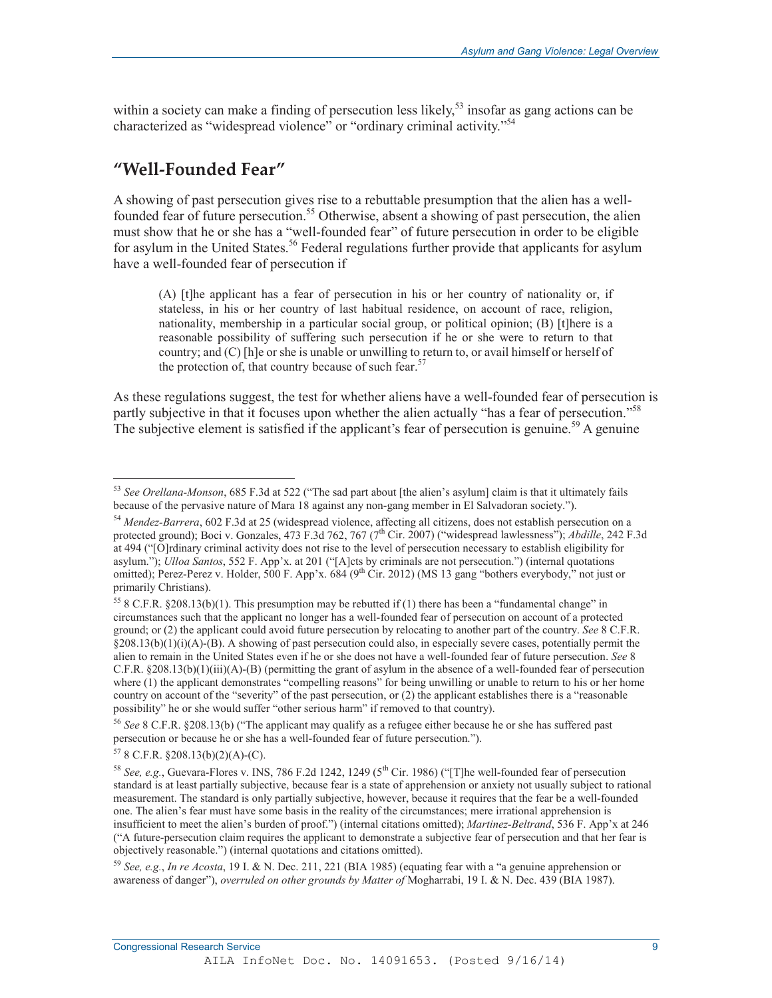within a society can make a finding of persecution less likely,<sup>53</sup> insofar as gang actions can be characterized as "widespread violence" or "ordinary criminal activity."54

## **"Well-Founded Fear"**

A showing of past persecution gives rise to a rebuttable presumption that the alien has a wellfounded fear of future persecution.<sup>55</sup> Otherwise, absent a showing of past persecution, the alien must show that he or she has a "well-founded fear" of future persecution in order to be eligible for asylum in the United States.<sup>56</sup> Federal regulations further provide that applicants for asylum have a well-founded fear of persecution if

(A) [t]he applicant has a fear of persecution in his or her country of nationality or, if stateless, in his or her country of last habitual residence, on account of race, religion, nationality, membership in a particular social group, or political opinion; (B) [t]here is a reasonable possibility of suffering such persecution if he or she were to return to that country; and (C) [h]e or she is unable or unwilling to return to, or avail himself or herself of the protection of, that country because of such fear.<sup>57</sup>

As these regulations suggest, the test for whether aliens have a well-founded fear of persecution is partly subjective in that it focuses upon whether the alien actually "has a fear of persecution."<sup>58</sup> The subjective element is satisfied if the applicant's fear of persecution is genuine.<sup>59</sup> A genuine

<sup>53</sup> *See Orellana-Monson*, 685 F.3d at 522 ("The sad part about [the alien's asylum] claim is that it ultimately fails because of the pervasive nature of Mara 18 against any non-gang member in El Salvadoran society.").

<sup>54</sup> *Mendez-Barrera*, 602 F.3d at 25 (widespread violence, affecting all citizens, does not establish persecution on a protected ground); Boci v. Gonzales, 473 F.3d 762, 767 (7<sup>th</sup> Cir. 2007) ("widespread lawlessness"); *Abdille*, 242 F.3d at 494 ("[O]rdinary criminal activity does not rise to the level of persecution necessary to establish eligibility for asylum."); *Ulloa Santos*, 552 F. App'x. at 201 ("[A]cts by criminals are not persecution.") (internal quotations omitted); Perez-Perez v. Holder, 500 F. App'x. 684 (9<sup>th</sup> Cir. 2012) (MS 13 gang "bothers everybody," not just or primarily Christians).

<sup>&</sup>lt;sup>55</sup> 8 C.F.R. §208.13(b)(1). This presumption may be rebutted if (1) there has been a "fundamental change" in circumstances such that the applicant no longer has a well-founded fear of persecution on account of a protected ground; or (2) the applicant could avoid future persecution by relocating to another part of the country. *See* 8 C.F.R. §208.13(b)(1)(i)(A)-(B). A showing of past persecution could also, in especially severe cases, potentially permit the alien to remain in the United States even if he or she does not have a well-founded fear of future persecution. *See* 8 C.F.R. §208.13(b)(1)(iii)(A)-(B) (permitting the grant of asylum in the absence of a well-founded fear of persecution where (1) the applicant demonstrates "compelling reasons" for being unwilling or unable to return to his or her home country on account of the "severity" of the past persecution, or (2) the applicant establishes there is a "reasonable possibility" he or she would suffer "other serious harm" if removed to that country).

<sup>56</sup> *See* 8 C.F.R. §208.13(b) ("The applicant may qualify as a refugee either because he or she has suffered past persecution or because he or she has a well-founded fear of future persecution.").

<sup>57 8</sup> C.F.R. §208.13(b)(2)(A)-(C).

<sup>&</sup>lt;sup>58</sup> See, e.g., Guevara-Flores v. INS, 786 F.2d 1242, 1249 (5<sup>th</sup> Cir. 1986) ("The well-founded fear of persecution standard is at least partially subjective, because fear is a state of apprehension or anxiety not usually subject to rational measurement. The standard is only partially subjective, however, because it requires that the fear be a well-founded one. The alien's fear must have some basis in the reality of the circumstances; mere irrational apprehension is insufficient to meet the alien's burden of proof.") (internal citations omitted); *Martinez-Beltrand*, 536 F. App'x at 246 ("A future-persecution claim requires the applicant to demonstrate a subjective fear of persecution and that her fear is objectively reasonable.") (internal quotations and citations omitted).

<sup>59</sup> *See, e.g.*, *In re Acosta*, 19 I. & N. Dec. 211, 221 (BIA 1985) (equating fear with a "a genuine apprehension or awareness of danger"), *overruled on other grounds by Matter of* Mogharrabi, 19 I. & N. Dec. 439 (BIA 1987).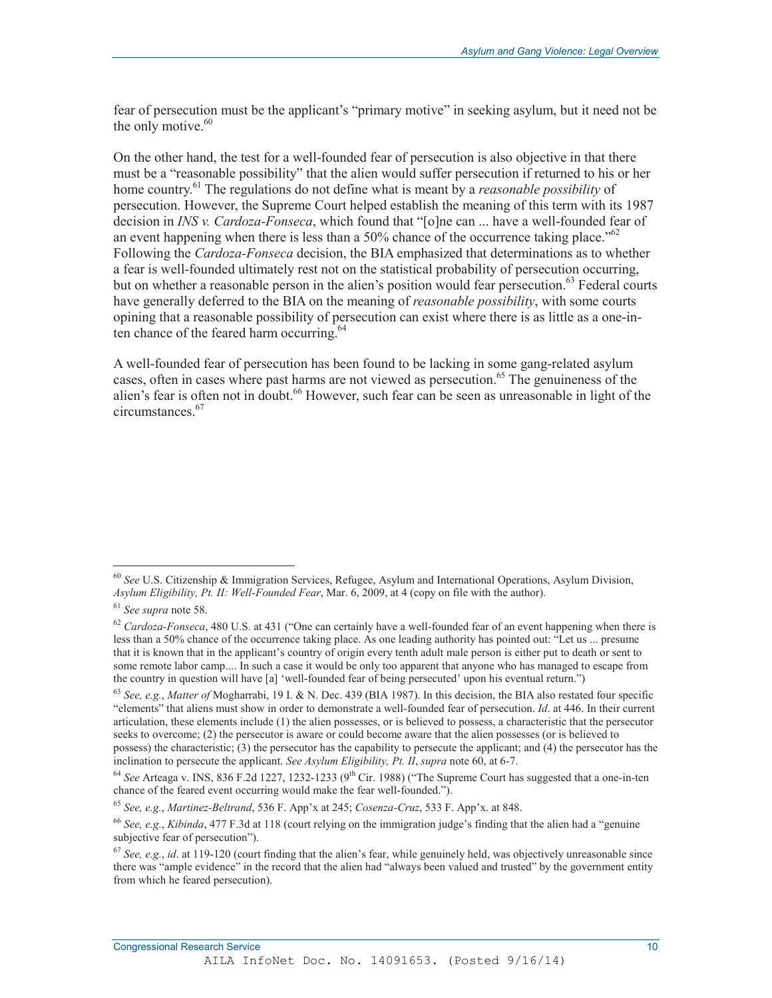fear of persecution must be the applicant's "primary motive" in seeking asylum, but it need not be the only motive.<sup>60</sup>

On the other hand, the test for a well-founded fear of persecution is also objective in that there must be a "reasonable possibility" that the alien would suffer persecution if returned to his or her home country.<sup>61</sup> The regulations do not define what is meant by a *reasonable possibility* of persecution. However, the Supreme Court helped establish the meaning of this term with its 1987 decision in *INS v. Cardoza-Fonseca*, which found that "[o]ne can ... have a well-founded fear of an event happening when there is less than a 50% chance of the occurrence taking place.<sup> $562$ </sup> Following the *Cardoza-Fonseca* decision, the BIA emphasized that determinations as to whether a fear is well-founded ultimately rest not on the statistical probability of persecution occurring, but on whether a reasonable person in the alien's position would fear persecution.<sup>63</sup> Federal courts have generally deferred to the BIA on the meaning of *reasonable possibility*, with some courts opining that a reasonable possibility of persecution can exist where there is as little as a one-inten chance of the feared harm occurring.<sup>64</sup>

A well-founded fear of persecution has been found to be lacking in some gang-related asylum cases, often in cases where past harms are not viewed as persecution.<sup>65</sup> The genuineness of the alien's fear is often not in doubt.<sup>66</sup> However, such fear can be seen as unreasonable in light of the circumstances.67

<sup>60</sup> *See* U.S. Citizenship & Immigration Services, Refugee, Asylum and International Operations, Asylum Division, *Asylum Eligibility, Pt. II: Well-Founded Fear*, Mar. 6, 2009, at 4 (copy on file with the author).

<sup>61</sup> *See supra* note 58.

<sup>62</sup> *Cardoza-Fonseca*, 480 U.S. at 431 ("One can certainly have a well-founded fear of an event happening when there is less than a 50% chance of the occurrence taking place. As one leading authority has pointed out: "Let us ... presume that it is known that in the applicant's country of origin every tenth adult male person is either put to death or sent to some remote labor camp.... In such a case it would be only too apparent that anyone who has managed to escape from the country in question will have [a] 'well-founded fear of being persecuted' upon his eventual return.")

<sup>63</sup> *See, e.g.*, *Matter of* Mogharrabi, 19 I. & N. Dec. 439 (BIA 1987). In this decision, the BIA also restated four specific "elements" that aliens must show in order to demonstrate a well-founded fear of persecution. *Id*. at 446. In their current articulation, these elements include (1) the alien possesses, or is believed to possess, a characteristic that the persecutor seeks to overcome; (2) the persecutor is aware or could become aware that the alien possesses (or is believed to possess) the characteristic; (3) the persecutor has the capability to persecute the applicant; and (4) the persecutor has the inclination to persecute the applicant. *See Asylum Eligibility, Pt. II*, *supra* note 60, at 6-7.

<sup>&</sup>lt;sup>64</sup> See Arteaga v. INS, 836 F.2d 1227, 1232-1233 (9<sup>th</sup> Cir. 1988) ("The Supreme Court has suggested that a one-in-ten chance of the feared event occurring would make the fear well-founded.").

<sup>65</sup> *See, e.g.*, *Martinez-Beltrand*, 536 F. App'x at 245; *Cosenza-Cruz*, 533 F. App'x. at 848.

<sup>66</sup> *See, e.g.*, *Kibinda*, 477 F.3d at 118 (court relying on the immigration judge's finding that the alien had a "genuine subjective fear of persecution").

<sup>67</sup> *See, e.g.*, *id*. at 119-120 (court finding that the alien's fear, while genuinely held, was objectively unreasonable since there was "ample evidence" in the record that the alien had "always been valued and trusted" by the government entity from which he feared persecution).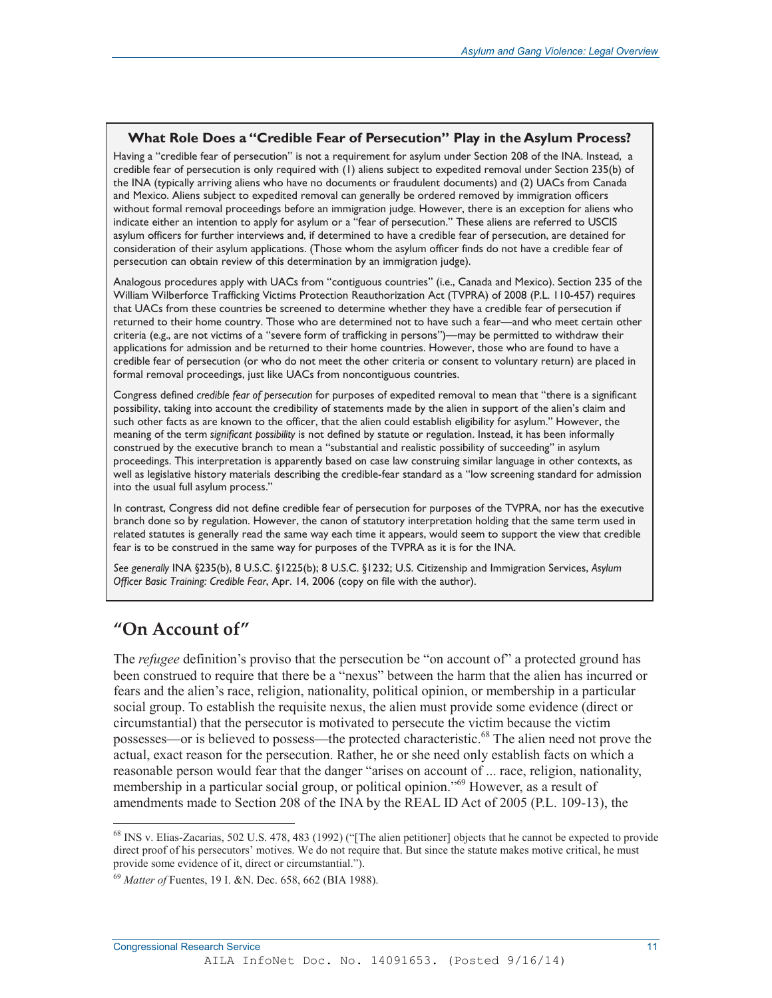### **What Role Does a "Credible Fear of Persecution" Play in the Asylum Process?**

Having a "credible fear of persecution" is not a requirement for asylum under Section 208 of the INA. Instead, a credible fear of persecution is only required with (1) aliens subject to expedited removal under Section 235(b) of the INA (typically arriving aliens who have no documents or fraudulent documents) and (2) UACs from Canada and Mexico. Aliens subject to expedited removal can generally be ordered removed by immigration officers without formal removal proceedings before an immigration judge. However, there is an exception for aliens who indicate either an intention to apply for asylum or a "fear of persecution." These aliens are referred to USCIS asylum officers for further interviews and, if determined to have a credible fear of persecution, are detained for consideration of their asylum applications. (Those whom the asylum officer finds do not have a credible fear of persecution can obtain review of this determination by an immigration judge).

Analogous procedures apply with UACs from "contiguous countries" (i.e., Canada and Mexico). Section 235 of the William Wilberforce Trafficking Victims Protection Reauthorization Act (TVPRA) of 2008 (P.L. 110-457) requires that UACs from these countries be screened to determine whether they have a credible fear of persecution if returned to their home country. Those who are determined not to have such a fear—and who meet certain other criteria (e.g., are not victims of a "severe form of trafficking in persons")—may be permitted to withdraw their applications for admission and be returned to their home countries. However, those who are found to have a credible fear of persecution (or who do not meet the other criteria or consent to voluntary return) are placed in formal removal proceedings, just like UACs from noncontiguous countries.

Congress defined *credible fear of persecution* for purposes of expedited removal to mean that "there is a significant possibility, taking into account the credibility of statements made by the alien in support of the alien's claim and such other facts as are known to the officer, that the alien could establish eligibility for asylum." However, the meaning of the term *significant possibility* is not defined by statute or regulation. Instead, it has been informally construed by the executive branch to mean a "substantial and realistic possibility of succeeding" in asylum proceedings. This interpretation is apparently based on case law construing similar language in other contexts, as well as legislative history materials describing the credible-fear standard as a "low screening standard for admission into the usual full asylum process."

In contrast, Congress did not define credible fear of persecution for purposes of the TVPRA, nor has the executive branch done so by regulation. However, the canon of statutory interpretation holding that the same term used in related statutes is generally read the same way each time it appears, would seem to support the view that credible fear is to be construed in the same way for purposes of the TVPRA as it is for the INA.

*See generally* INA §235(b), 8 U.S.C. §1225(b); 8 U.S.C. §1232; U.S. Citizenship and Immigration Services, *Asylum Officer Basic Training: Credible Fear*, Apr. 14, 2006 (copy on file with the author).

## **"On Account of"**

-

The *refugee* definition's proviso that the persecution be "on account of" a protected ground has been construed to require that there be a "nexus" between the harm that the alien has incurred or fears and the alien's race, religion, nationality, political opinion, or membership in a particular social group. To establish the requisite nexus, the alien must provide some evidence (direct or circumstantial) that the persecutor is motivated to persecute the victim because the victim possesses—or is believed to possess—the protected characteristic.<sup>68</sup> The alien need not prove the actual, exact reason for the persecution. Rather, he or she need only establish facts on which a reasonable person would fear that the danger "arises on account of ... race, religion, nationality, membership in a particular social group, or political opinion."<sup>69</sup> However, as a result of amendments made to Section 208 of the INA by the REAL ID Act of 2005 (P.L. 109-13), the

<sup>&</sup>lt;sup>68</sup> INS v. Elias-Zacarias, 502 U.S. 478, 483 (1992) ("[The alien petitioner] objects that he cannot be expected to provide direct proof of his persecutors' motives. We do not require that. But since the statute makes motive critical, he must provide some evidence of it, direct or circumstantial.").

<sup>69</sup> *Matter of* Fuentes, 19 I. &N. Dec. 658, 662 (BIA 1988).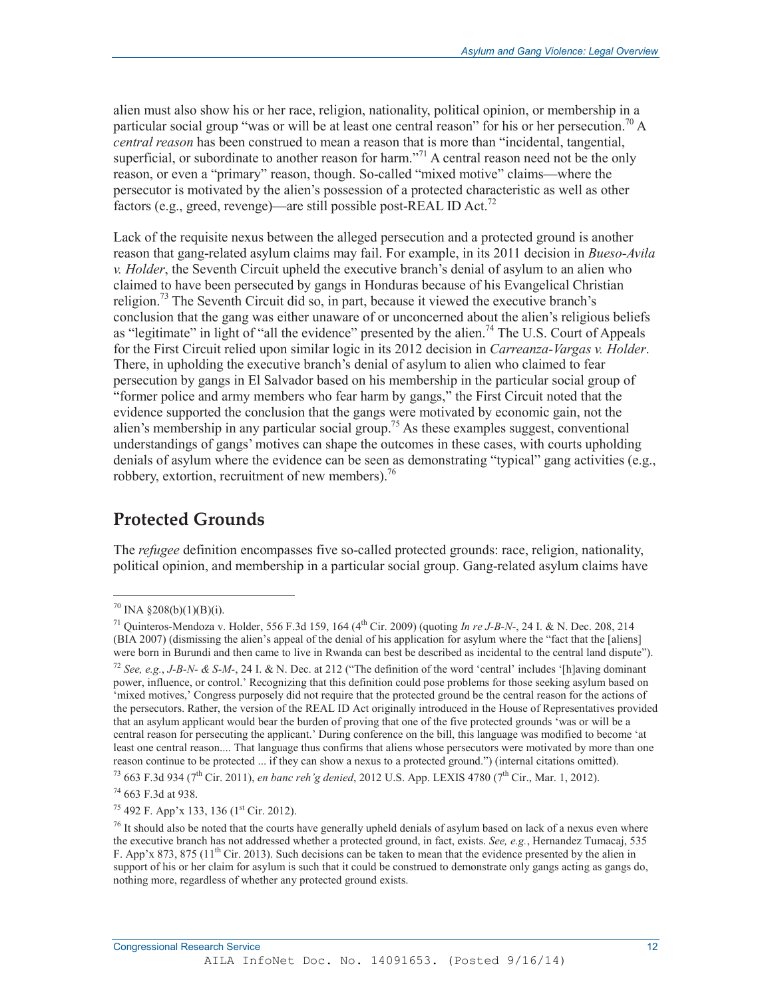alien must also show his or her race, religion, nationality, political opinion, or membership in a particular social group "was or will be at least one central reason" for his or her persecution.<sup>70</sup> A *central reason* has been construed to mean a reason that is more than "incidental, tangential, superficial, or subordinate to another reason for harm.<sup> $21$ </sup> A central reason need not be the only reason, or even a "primary" reason, though. So-called "mixed motive" claims—where the persecutor is motivated by the alien's possession of a protected characteristic as well as other factors (e.g., greed, revenge)—are still possible post-REAL ID Act.<sup>72</sup>

Lack of the requisite nexus between the alleged persecution and a protected ground is another reason that gang-related asylum claims may fail. For example, in its 2011 decision in *Bueso-Avila v. Holder*, the Seventh Circuit upheld the executive branch's denial of asylum to an alien who claimed to have been persecuted by gangs in Honduras because of his Evangelical Christian religion.73 The Seventh Circuit did so, in part, because it viewed the executive branch's conclusion that the gang was either unaware of or unconcerned about the alien's religious beliefs as "legitimate" in light of "all the evidence" presented by the alien.<sup>74</sup> The U.S. Court of Appeals for the First Circuit relied upon similar logic in its 2012 decision in *Carreanza-Vargas v. Holder*. There, in upholding the executive branch's denial of asylum to alien who claimed to fear persecution by gangs in El Salvador based on his membership in the particular social group of "former police and army members who fear harm by gangs," the First Circuit noted that the evidence supported the conclusion that the gangs were motivated by economic gain, not the alien's membership in any particular social group.<sup>75</sup> As these examples suggest, conventional understandings of gangs' motives can shape the outcomes in these cases, with courts upholding denials of asylum where the evidence can be seen as demonstrating "typical" gang activities (e.g., robbery, extortion, recruitment of new members). $\frac{76}{6}$ 

## **Protected Grounds**

The *refugee* definition encompasses five so-called protected grounds: race, religion, nationality, political opinion, and membership in a particular social group. Gang-related asylum claims have

-

 $75$  492 F. App'x 133, 136 (1<sup>st</sup> Cir. 2012).

 $70$  INA §208(b)(1)(B)(i).

<sup>71</sup> Quinteros-Mendoza v. Holder, 556 F.3d 159, 164 (4th Cir. 2009) (quoting *In re J-B-N-*, 24 I. & N. Dec. 208, 214 (BIA 2007) (dismissing the alien's appeal of the denial of his application for asylum where the "fact that the [aliens] were born in Burundi and then came to live in Rwanda can best be described as incidental to the central land dispute"). <sup>72</sup> *See, e.g., J-B-N- & S-M-*, 24 I. & N. Dec. at 212 ("The definition of the word 'central' includes '[h]aving dominant power, influence, or control.' Recognizing that this definition could pose problems for those seeking asylum based on 'mixed motives,' Congress purposely did not require that the protected ground be the central reason for the actions of the persecutors. Rather, the version of the REAL ID Act originally introduced in the House of Representatives provided that an asylum applicant would bear the burden of proving that one of the five protected grounds 'was or will be a central reason for persecuting the applicant.' During conference on the bill, this language was modified to become 'at least one central reason.... That language thus confirms that aliens whose persecutors were motivated by more than one reason continue to be protected ... if they can show a nexus to a protected ground.") (internal citations omitted).

<sup>73 663</sup> F.3d 934 (7th Cir. 2011), *en banc reh'g denied*, 2012 U.S. App. LEXIS 4780 (7th Cir., Mar. 1, 2012).

<sup>74 663</sup> F.3d at 938.

 $<sup>76</sup>$  It should also be noted that the courts have generally upheld denials of asylum based on lack of a nexus even where</sup> the executive branch has not addressed whether a protected ground, in fact, exists. *See, e.g.*, Hernandez Tumacaj, 535 F. App'x 873, 875 ( $11<sup>th</sup>$  Cir. 2013). Such decisions can be taken to mean that the evidence presented by the alien in support of his or her claim for asylum is such that it could be construed to demonstrate only gangs acting as gangs do, nothing more, regardless of whether any protected ground exists.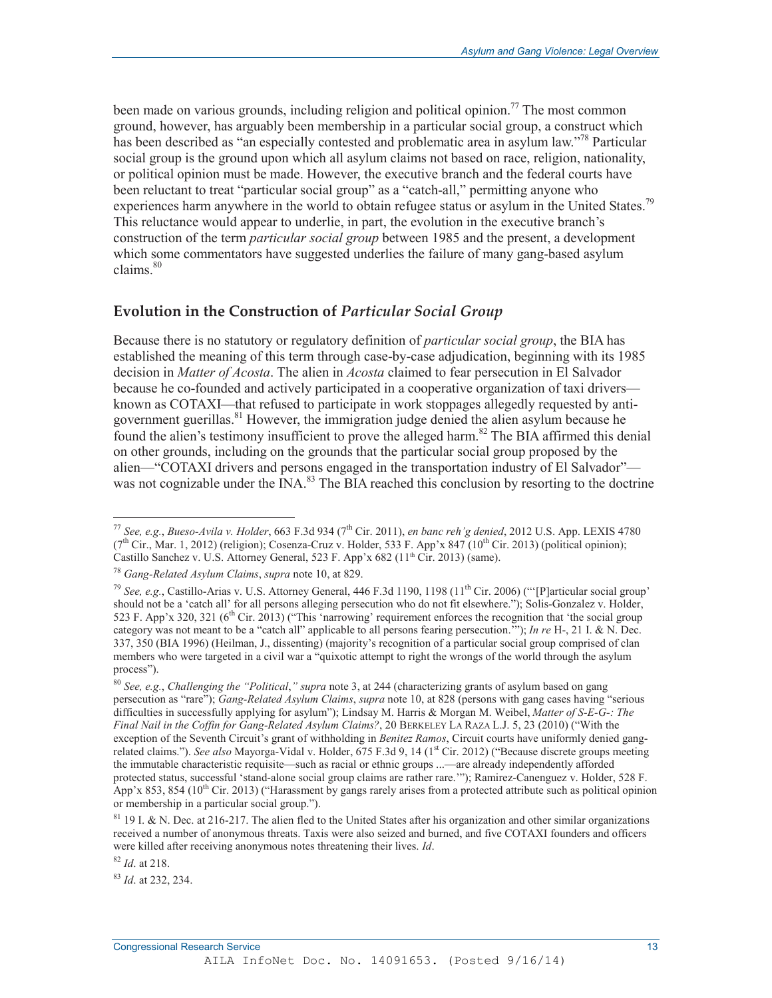been made on various grounds, including religion and political opinion.<sup>77</sup> The most common ground, however, has arguably been membership in a particular social group, a construct which has been described as "an especially contested and problematic area in asylum law."<sup>78</sup> Particular social group is the ground upon which all asylum claims not based on race, religion, nationality, or political opinion must be made. However, the executive branch and the federal courts have been reluctant to treat "particular social group" as a "catch-all," permitting anyone who experiences harm anywhere in the world to obtain refugee status or asylum in the United States.<sup>79</sup> This reluctance would appear to underlie, in part, the evolution in the executive branch's construction of the term *particular social group* between 1985 and the present, a development which some commentators have suggested underlies the failure of many gang-based asylum claims. $80$ 

### **Evolution in the Construction of** *Particular Social Group*

Because there is no statutory or regulatory definition of *particular social group*, the BIA has established the meaning of this term through case-by-case adjudication, beginning with its 1985 decision in *Matter of Acosta*. The alien in *Acosta* claimed to fear persecution in El Salvador because he co-founded and actively participated in a cooperative organization of taxi drivers known as COTAXI—that refused to participate in work stoppages allegedly requested by antigovernment guerillas.<sup>81</sup> However, the immigration judge denied the alien asylum because he found the alien's testimony insufficient to prove the alleged harm.<sup>82</sup> The BIA affirmed this denial on other grounds, including on the grounds that the particular social group proposed by the alien—"COTAXI drivers and persons engaged in the transportation industry of El Salvador" was not cognizable under the INA.<sup>83</sup> The BIA reached this conclusion by resorting to the doctrine

<sup>82</sup> *Id*. at 218.

-

<sup>83</sup> *Id*. at 232, 234.

<sup>77</sup> *See, e.g.*, *Bueso-Avila v. Holder*, 663 F.3d 934 (7th Cir. 2011), *en banc reh'g denied*, 2012 U.S. App. LEXIS 4780  $(7<sup>th</sup> Cir., Mar. 1, 2012)$  (religion); Cosenza-Cruz v. Holder, 533 F. App'x 847 (10<sup>th</sup> Cir. 2013) (political opinion); Castillo Sanchez v. U.S. Attorney General, 523 F. App'x 682 ( $11<sup>th</sup>$  Cir. 2013) (same).

<sup>78</sup> *Gang-Related Asylum Claims*, *supra* note 10, at 829.

<sup>79</sup> *See, e.g.*, Castillo-Arias v. U.S. Attorney General, 446 F.3d 1190, 1198 (11th Cir. 2006) ("'[P]articular social group' should not be a 'catch all' for all persons alleging persecution who do not fit elsewhere."); Solis-Gonzalez v. Holder, 523 F. App'x 320, 321 (6<sup>th</sup> Cir. 2013) ("This 'narrowing' requirement enforces the recognition that 'the social group category was not meant to be a "catch all" applicable to all persons fearing persecution.'"); *In re* H-, 21 I. & N. Dec. 337, 350 (BIA 1996) (Heilman, J., dissenting) (majority's recognition of a particular social group comprised of clan members who were targeted in a civil war a "quixotic attempt to right the wrongs of the world through the asylum process").

<sup>80</sup> *See, e.g.*, *Challenging the "Political*,*" supra* note 3, at 244 (characterizing grants of asylum based on gang persecution as "rare"); *Gang-Related Asylum Claims*, *supra* note 10, at 828 (persons with gang cases having "serious difficulties in successfully applying for asylum"); Lindsay M. Harris & Morgan M. Weibel, *Matter of S-E-G-: The Final Nail in the Coffin for Gang-Related Asylum Claims?*, 20 BERKELEY LA RAZA L.J. 5, 23 (2010) ("With the exception of the Seventh Circuit's grant of withholding in *Benitez Ramos*, Circuit courts have uniformly denied gangrelated claims."). *See also* Mayorga-Vidal v. Holder, 675 F.3d 9, 14 (1<sup>st</sup> Cir. 2012) ("Because discrete groups meeting the immutable characteristic requisite—such as racial or ethnic groups ...—are already independently afforded protected status, successful 'stand-alone social group claims are rather rare.'"); Ramirez-Canenguez v. Holder, 528 F. App'x 853, 854 (10<sup>th</sup> Cir. 2013) ("Harassment by gangs rarely arises from a protected attribute such as political opinion or membership in a particular social group.").

<sup>&</sup>lt;sup>81</sup> 19 I. & N. Dec. at 216-217. The alien fled to the United States after his organization and other similar organizations received a number of anonymous threats. Taxis were also seized and burned, and five COTAXI founders and officers were killed after receiving anonymous notes threatening their lives. *Id*.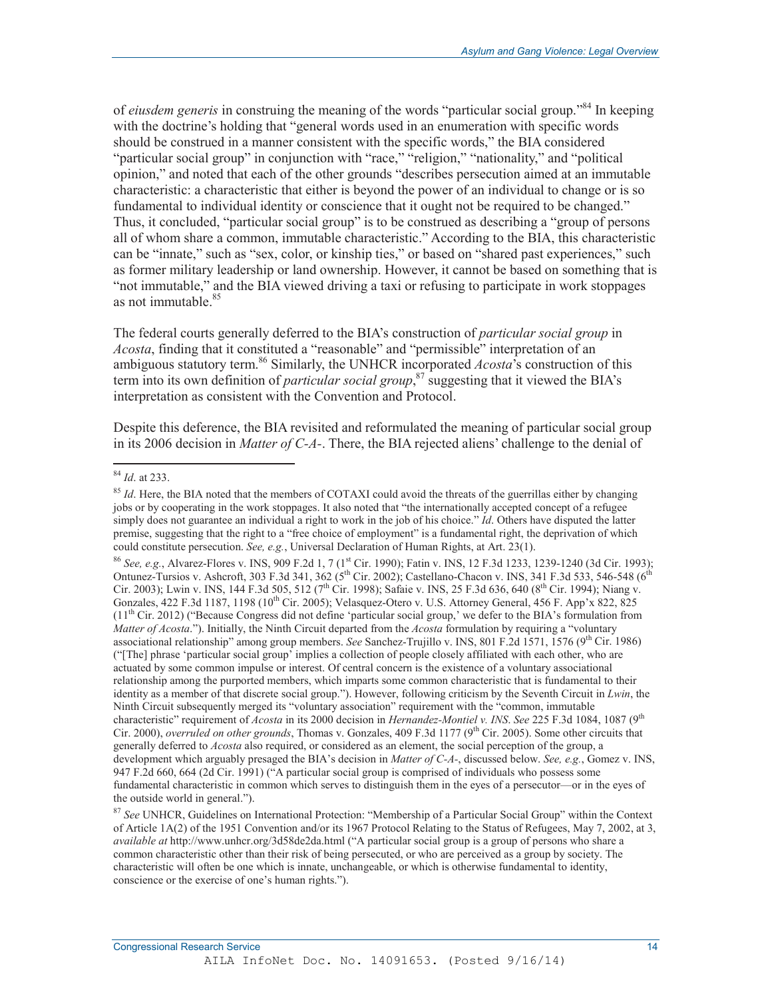of *eiusdem generis* in construing the meaning of the words "particular social group."84 In keeping with the doctrine's holding that "general words used in an enumeration with specific words should be construed in a manner consistent with the specific words," the BIA considered "particular social group" in conjunction with "race," "religion," "nationality," and "political opinion," and noted that each of the other grounds "describes persecution aimed at an immutable characteristic: a characteristic that either is beyond the power of an individual to change or is so fundamental to individual identity or conscience that it ought not be required to be changed." Thus, it concluded, "particular social group" is to be construed as describing a "group of persons all of whom share a common, immutable characteristic." According to the BIA, this characteristic can be "innate," such as "sex, color, or kinship ties," or based on "shared past experiences," such as former military leadership or land ownership. However, it cannot be based on something that is "not immutable," and the BIA viewed driving a taxi or refusing to participate in work stoppages as not immutable <sup>85</sup>

The federal courts generally deferred to the BIA's construction of *particular social group* in *Acosta*, finding that it constituted a "reasonable" and "permissible" interpretation of an ambiguous statutory term.<sup>86</sup> Similarly, the UNHCR incorporated *Acosta*'s construction of this term into its own definition of *particular social group*, 87 suggesting that it viewed the BIA's interpretation as consistent with the Convention and Protocol.

Despite this deference, the BIA revisited and reformulated the meaning of particular social group in its 2006 decision in *Matter of C-A-*. There, the BIA rejected aliens' challenge to the denial of

 $\overline{a}$ 

86 *See, e.g.*, Alvarez-Flores v. INS, 909 F.2d 1, 7 (1<sup>st</sup> Cir. 1990); Fatin v. INS, 12 F.3d 1233, 1239-1240 (3d Cir. 1993); Ontunez-Tursios v. Ashcroft, 303 F.3d 341, 362 ( $5^{th}$  Cir. 2002); Castellano-Chacon v. INS, 341 F.3d 533, 546-548 ( $6^{th}$ ) Cir. 2003); Lwin v. INS, 144 F.3d 505, 512 (7<sup>th</sup> Cir. 1998); Safaie v. INS, 25 F.3d 636, 640 (8<sup>th</sup> Cir. 1994); Niang v. Gonzales,  $422$  F.3d 1187, 1198 ( $10^{th}$  Cir. 2005); Velasquez-Otero v. U.S. Attorney General,  $456$  F. App'x 822, 825  $(11<sup>th</sup> Cir. 2012)$  ("Because Congress did not define 'particular social group,' we defer to the BIA's formulation from *Matter of Acosta*."). Initially, the Ninth Circuit departed from the *Acosta* formulation by requiring a "voluntary associational relationship" among group members. *See* Sanchez-Trujillo v. INS, 801 F.2d 1571, 1576 (9<sup>th</sup> Cir. 1986) ("[The] phrase 'particular social group' implies a collection of people closely affiliated with each other, who are actuated by some common impulse or interest. Of central concern is the existence of a voluntary associational relationship among the purported members, which imparts some common characteristic that is fundamental to their identity as a member of that discrete social group."). However, following criticism by the Seventh Circuit in *Lwin*, the Ninth Circuit subsequently merged its "voluntary association" requirement with the "common, immutable characteristic" requirement of *Acosta* in its 2000 decision in *Hernandez-Montiel v. INS*. *See* 225 F.3d 1084, 1087 (9th Cir. 2000), *overruled on other grounds*, Thomas v. Gonzales, 409 F.3d 1177 (9<sup>th</sup> Cir. 2005). Some other circuits that generally deferred to *Acosta* also required, or considered as an element, the social perception of the group, a development which arguably presaged the BIA's decision in *Matter of C-A-*, discussed below. *See, e.g.*, Gomez v. INS, 947 F.2d 660, 664 (2d Cir. 1991) ("A particular social group is comprised of individuals who possess some fundamental characteristic in common which serves to distinguish them in the eyes of a persecutor—or in the eyes of the outside world in general.").

<sup>84</sup> *Id*. at 233.

<sup>85</sup> *Id*. Here, the BIA noted that the members of COTAXI could avoid the threats of the guerrillas either by changing jobs or by cooperating in the work stoppages. It also noted that "the internationally accepted concept of a refugee simply does not guarantee an individual a right to work in the job of his choice." *Id*. Others have disputed the latter premise, suggesting that the right to a "free choice of employment" is a fundamental right, the deprivation of which could constitute persecution. *See, e.g.*, Universal Declaration of Human Rights, at Art. 23(1).

<sup>87</sup> *See* UNHCR, Guidelines on International Protection: "Membership of a Particular Social Group" within the Context of Article 1A(2) of the 1951 Convention and/or its 1967 Protocol Relating to the Status of Refugees, May 7, 2002, at 3, *available at* http://www.unhcr.org/3d58de2da.html ("A particular social group is a group of persons who share a common characteristic other than their risk of being persecuted, or who are perceived as a group by society. The characteristic will often be one which is innate, unchangeable, or which is otherwise fundamental to identity, conscience or the exercise of one's human rights.").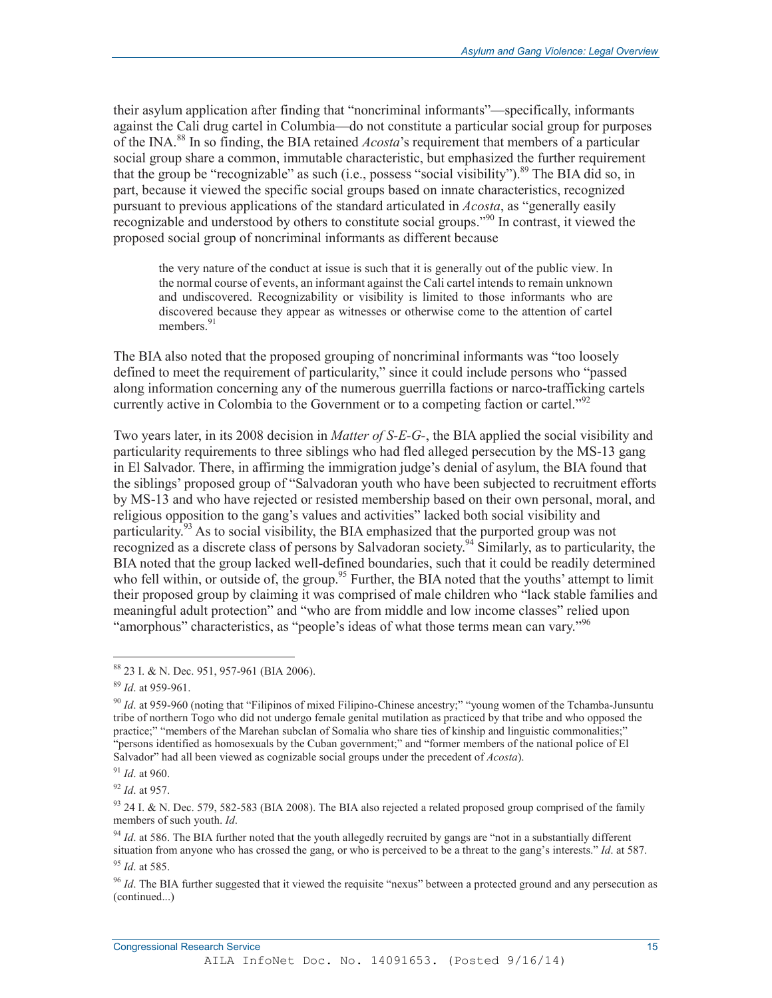their asylum application after finding that "noncriminal informants"—specifically, informants against the Cali drug cartel in Columbia—do not constitute a particular social group for purposes of the INA.88 In so finding, the BIA retained *Acosta*'s requirement that members of a particular social group share a common, immutable characteristic, but emphasized the further requirement that the group be "recognizable" as such (i.e., possess "social visibility").<sup>89</sup> The BIA did so, in part, because it viewed the specific social groups based on innate characteristics, recognized pursuant to previous applications of the standard articulated in *Acosta*, as "generally easily recognizable and understood by others to constitute social groups."<sup>90</sup> In contrast, it viewed the proposed social group of noncriminal informants as different because

the very nature of the conduct at issue is such that it is generally out of the public view. In the normal course of events, an informant against the Cali cartel intends to remain unknown and undiscovered. Recognizability or visibility is limited to those informants who are discovered because they appear as witnesses or otherwise come to the attention of cartel members.<sup>91</sup>

The BIA also noted that the proposed grouping of noncriminal informants was "too loosely defined to meet the requirement of particularity," since it could include persons who "passed along information concerning any of the numerous guerrilla factions or narco-trafficking cartels currently active in Colombia to the Government or to a competing faction or cartel.<sup> $292$ </sup>

Two years later, in its 2008 decision in *Matter of S-E-G-*, the BIA applied the social visibility and particularity requirements to three siblings who had fled alleged persecution by the MS-13 gang in El Salvador. There, in affirming the immigration judge's denial of asylum, the BIA found that the siblings' proposed group of "Salvadoran youth who have been subjected to recruitment efforts by MS-13 and who have rejected or resisted membership based on their own personal, moral, and religious opposition to the gang's values and activities" lacked both social visibility and particularity.<sup>93</sup> As to social visibility, the BIA emphasized that the purported group was not recognized as a discrete class of persons by Salvadoran society.<sup>94</sup> Similarly, as to particularity, the BIA noted that the group lacked well-defined boundaries, such that it could be readily determined who fell within, or outside of, the group.<sup>95</sup> Further, the BIA noted that the youths' attempt to limit their proposed group by claiming it was comprised of male children who "lack stable families and meaningful adult protection" and "who are from middle and low income classes" relied upon "amorphous" characteristics, as "people's ideas of what those terms mean can vary."<sup>96</sup>

-

<sup>92</sup> *Id*. at 957.

#### **Congressional Research Service 15 and 2008 15 and 2008 16 and 2008 16 and 2008 16 and 2008 16 and 2008 16 and 2008 16 and 2008 16 and 2008 16 and 2008 16 and 2008 16 and 2008 16 and 2008 16 and 2008 16 and 2008 16 and 200**

<sup>88 23</sup> I. & N. Dec. 951, 957-961 (BIA 2006).

<sup>89</sup> *Id*. at 959-961.

<sup>&</sup>lt;sup>90</sup> *Id.* at 959-960 (noting that "Filipinos of mixed Filipino-Chinese ancestry;" "young women of the Tchamba-Junsuntu tribe of northern Togo who did not undergo female genital mutilation as practiced by that tribe and who opposed the practice;" "members of the Marehan subclan of Somalia who share ties of kinship and linguistic commonalities;" "persons identified as homosexuals by the Cuban government;" and "former members of the national police of El Salvador" had all been viewed as cognizable social groups under the precedent of *Acosta*).

<sup>91</sup> *Id*. at 960.

 $93$  24 I. & N. Dec. 579, 582-583 (BIA 2008). The BIA also rejected a related proposed group comprised of the family members of such youth. *Id*.

<sup>&</sup>lt;sup>94</sup> *Id.* at 586. The BIA further noted that the youth allegedly recruited by gangs are "not in a substantially different situation from anyone who has crossed the gang, or who is perceived to be a threat to the gang's interests." *Id*. at 587. <sup>95</sup> *Id*. at 585.

<sup>96</sup> *Id*. The BIA further suggested that it viewed the requisite "nexus" between a protected ground and any persecution as (continued...)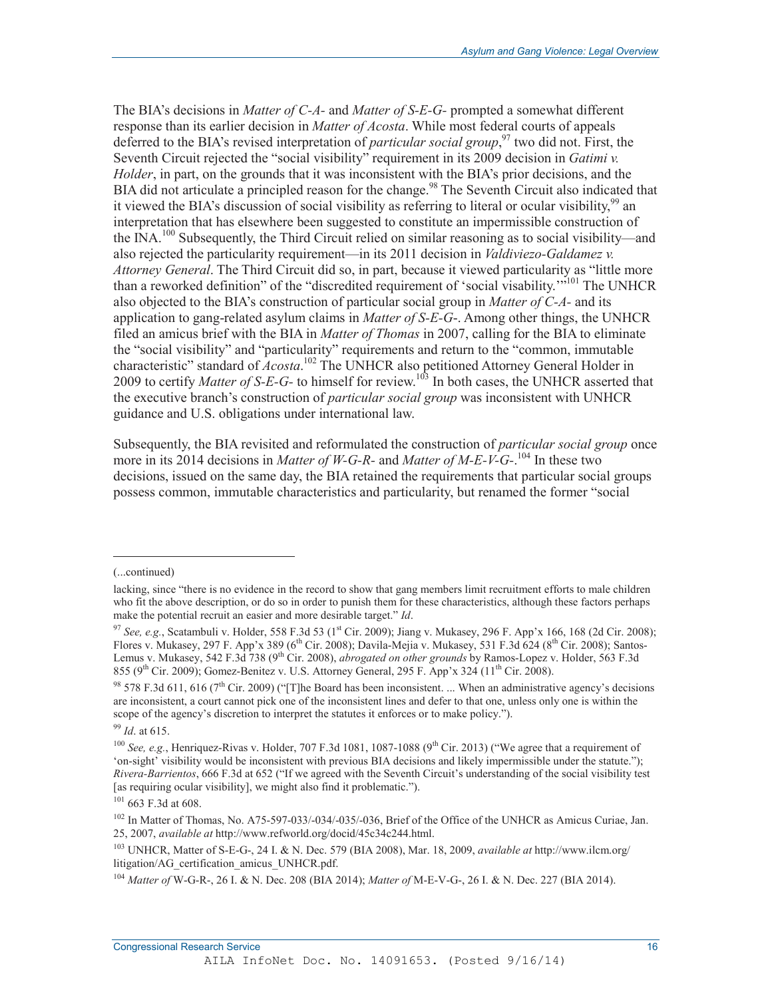The BIA's decisions in *Matter of C-A-* and *Matter of S-E-G-* prompted a somewhat different response than its earlier decision in *Matter of Acosta*. While most federal courts of appeals deferred to the BIA's revised interpretation of *particular social group*, 97 two did not. First, the Seventh Circuit rejected the "social visibility" requirement in its 2009 decision in *Gatimi v. Holder*, in part, on the grounds that it was inconsistent with the BIA's prior decisions, and the BIA did not articulate a principled reason for the change.<sup>98</sup> The Seventh Circuit also indicated that it viewed the BIA's discussion of social visibility as referring to literal or ocular visibility,  $99$  an interpretation that has elsewhere been suggested to constitute an impermissible construction of the INA.<sup>100</sup> Subsequently, the Third Circuit relied on similar reasoning as to social visibility—and also rejected the particularity requirement—in its 2011 decision in *Valdiviezo-Galdamez v. Attorney General*. The Third Circuit did so, in part, because it viewed particularity as "little more than a reworked definition" of the "discredited requirement of 'social visability."<sup>5101</sup> The UNHCR also objected to the BIA's construction of particular social group in *Matter of C-A-* and its application to gang-related asylum claims in *Matter of S-E-G*-. Among other things, the UNHCR filed an amicus brief with the BIA in *Matter of Thomas* in 2007, calling for the BIA to eliminate the "social visibility" and "particularity" requirements and return to the "common, immutable characteristic" standard of *Acosta*. 102 The UNHCR also petitioned Attorney General Holder in 2009 to certify *Matter of S-E-G-* to himself for review.103 In both cases, the UNHCR asserted that the executive branch's construction of *particular social group* was inconsistent with UNHCR guidance and U.S. obligations under international law.

Subsequently, the BIA revisited and reformulated the construction of *particular social group* once more in its 2014 decisions in *Matter of W-G-R-* and *Matter of M-E-V-G-*.<sup>104</sup> In these two decisions, issued on the same day, the BIA retained the requirements that particular social groups possess common, immutable characteristics and particularity, but renamed the former "social

.

<sup>(...</sup>continued)

lacking, since "there is no evidence in the record to show that gang members limit recruitment efforts to male children who fit the above description, or do so in order to punish them for these characteristics, although these factors perhaps make the potential recruit an easier and more desirable target." *Id*.

<sup>97</sup> *See, e.g.*, Scatambuli v. Holder, 558 F.3d 53 (1<sup>st</sup> Cir. 2009); Jiang v. Mukasey, 296 F. App'x 166, 168 (2d Cir. 2008); Flores v. Mukasey, 297 F. App'x 389 (6<sup>th</sup> Cir. 2008); Davila-Mejia v. Mukasey, 531 F.3d 624 (8<sup>th</sup> Cir. 2008); Santos-Lemus v. Mukasey, 542 F.3d 738 (9<sup>th</sup> Cir. 2008), *abrogated on other grounds* by Ramos-Lopez v. Holder, 563 F.3d 855 (9<sup>th</sup> Cir. 2009); Gomez-Benitez v. U.S. Attorney General, 295 F. App'x 324 (11<sup>th</sup> Cir. 2008).

<sup>&</sup>lt;sup>98</sup> 578 F.3d 611, 616 (7<sup>th</sup> Cir. 2009) ("The Board has been inconsistent. ... When an administrative agency's decisions are inconsistent, a court cannot pick one of the inconsistent lines and defer to that one, unless only one is within the scope of the agency's discretion to interpret the statutes it enforces or to make policy.").

<sup>99</sup> *Id*. at 615.

<sup>&</sup>lt;sup>100</sup> *See, e.g.*, Henriquez-Rivas v. Holder, 707 F.3d 1081, 1087-1088 (9<sup>th</sup> Cir. 2013) ("We agree that a requirement of 'on-sight' visibility would be inconsistent with previous BIA decisions and likely impermissible under the statute."); *Rivera-Barrientos*, 666 F.3d at 652 ("If we agreed with the Seventh Circuit's understanding of the social visibility test [as requiring ocular visibility], we might also find it problematic.").

<sup>101 663</sup> F.3d at 608.

<sup>102</sup> In Matter of Thomas, No. A75-597-033/-034/-035/-036, Brief of the Office of the UNHCR as Amicus Curiae, Jan. 25, 2007, *available at* http://www.refworld.org/docid/45c34c244.html.

<sup>103</sup> UNHCR, Matter of S-E-G-, 24 I. & N. Dec. 579 (BIA 2008), Mar. 18, 2009, *available at* http://www.ilcm.org/ litigation/AG\_certification\_amicus\_UNHCR.pdf.

<sup>104</sup> *Matter of* W-G-R-, 26 I. & N. Dec. 208 (BIA 2014); *Matter of* M-E-V-G-, 26 I. & N. Dec. 227 (BIA 2014).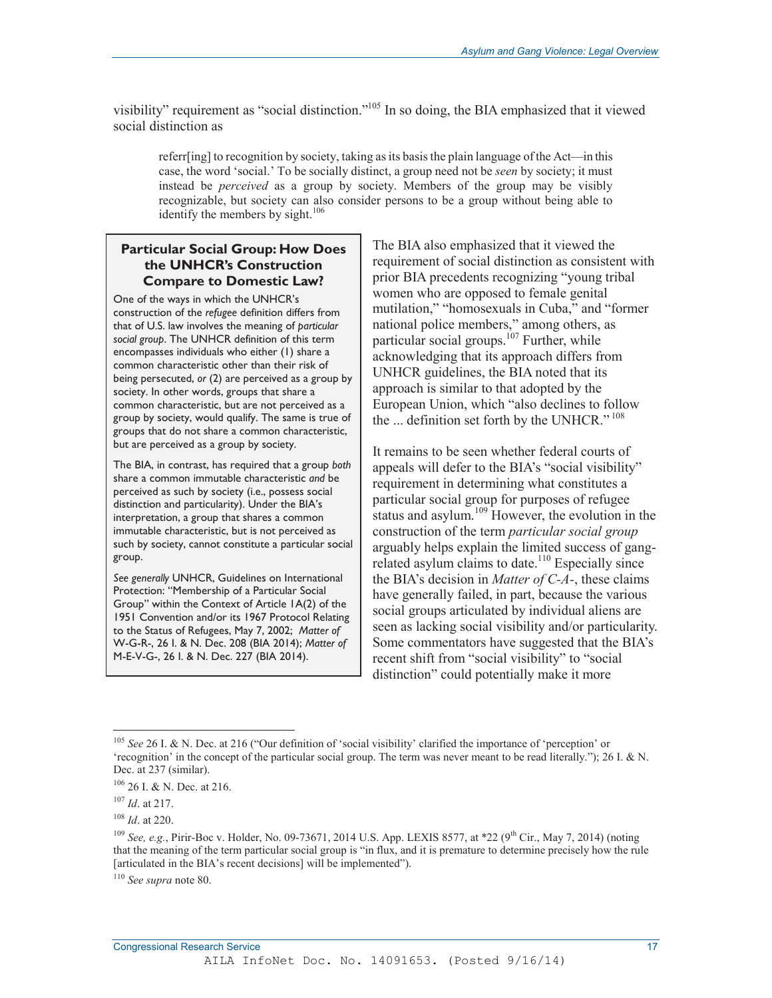visibility" requirement as "social distinction."<sup>105</sup> In so doing, the BIA emphasized that it viewed social distinction as

referr[ing] to recognition by society, taking as its basis the plain language of the Act—in this case, the word 'social.' To be socially distinct, a group need not be *seen* by society; it must instead be *perceived* as a group by society. Members of the group may be visibly recognizable, but society can also consider persons to be a group without being able to identify the members by sight.<sup>106</sup>

### **Particular Social Group: How Does the UNHCR's Construction Compare to Domestic Law?**

One of the ways in which the UNHCR's construction of the *refugee* definition differs from that of U.S. law involves the meaning of *particular social group*. The UNHCR definition of this term encompasses individuals who either (1) share a common characteristic other than their risk of being persecuted, *or* (2) are perceived as a group by society. In other words, groups that share a common characteristic, but are not perceived as a group by society, would qualify. The same is true of groups that do not share a common characteristic, but are perceived as a group by society.

The BIA, in contrast, has required that a group *both*  share a common immutable characteristic *and* be perceived as such by society (i.e., possess social distinction and particularity). Under the BIA's interpretation, a group that shares a common immutable characteristic, but is not perceived as such by society, cannot constitute a particular social group.

*See generally* UNHCR, Guidelines on International Protection: "Membership of a Particular Social Group" within the Context of Article 1A(2) of the 1951 Convention and/or its 1967 Protocol Relating to the Status of Refugees, May 7, 2002; *Matter of*  W-G-R-, 26 I. & N. Dec. 208 (BIA 2014); *Matter of*  M-E-V-G-, 26 I. & N. Dec. 227 (BIA 2014).

The BIA also emphasized that it viewed the requirement of social distinction as consistent with prior BIA precedents recognizing "young tribal women who are opposed to female genital mutilation," "homosexuals in Cuba," and "former national police members," among others, as particular social groups.<sup>107</sup> Further, while acknowledging that its approach differs from UNHCR guidelines, the BIA noted that its approach is similar to that adopted by the European Union, which "also declines to follow the ... definition set forth by the UNHCR."<sup>108</sup>

It remains to be seen whether federal courts of appeals will defer to the BIA's "social visibility" requirement in determining what constitutes a particular social group for purposes of refugee status and asylum.<sup>109</sup> However, the evolution in the construction of the term *particular social group*  arguably helps explain the limited success of gangrelated asylum claims to date.<sup>110</sup> Especially since the BIA's decision in *Matter of C-A-*, these claims have generally failed, in part, because the various social groups articulated by individual aliens are seen as lacking social visibility and/or particularity. Some commentators have suggested that the BIA's recent shift from "social visibility" to "social distinction" could potentially make it more

-

<sup>110</sup> *See supra* note 80.

<sup>105</sup> *See* 26 I. & N. Dec. at 216 ("Our definition of 'social visibility' clarified the importance of 'perception' or 'recognition' in the concept of the particular social group. The term was never meant to be read literally."); 26 I. & N. Dec. at 237 (similar).

<sup>106 26</sup> I. & N. Dec. at 216.

<sup>107</sup> *Id*. at 217.

<sup>108</sup> *Id*. at 220.

<sup>109</sup> *See, e.g.*, Pirir-Boc v. Holder, No. 09-73671, 2014 U.S. App. LEXIS 8577, at \*22 (9th Cir., May 7, 2014) (noting that the meaning of the term particular social group is "in flux, and it is premature to determine precisely how the rule [articulated in the BIA's recent decisions] will be implemented").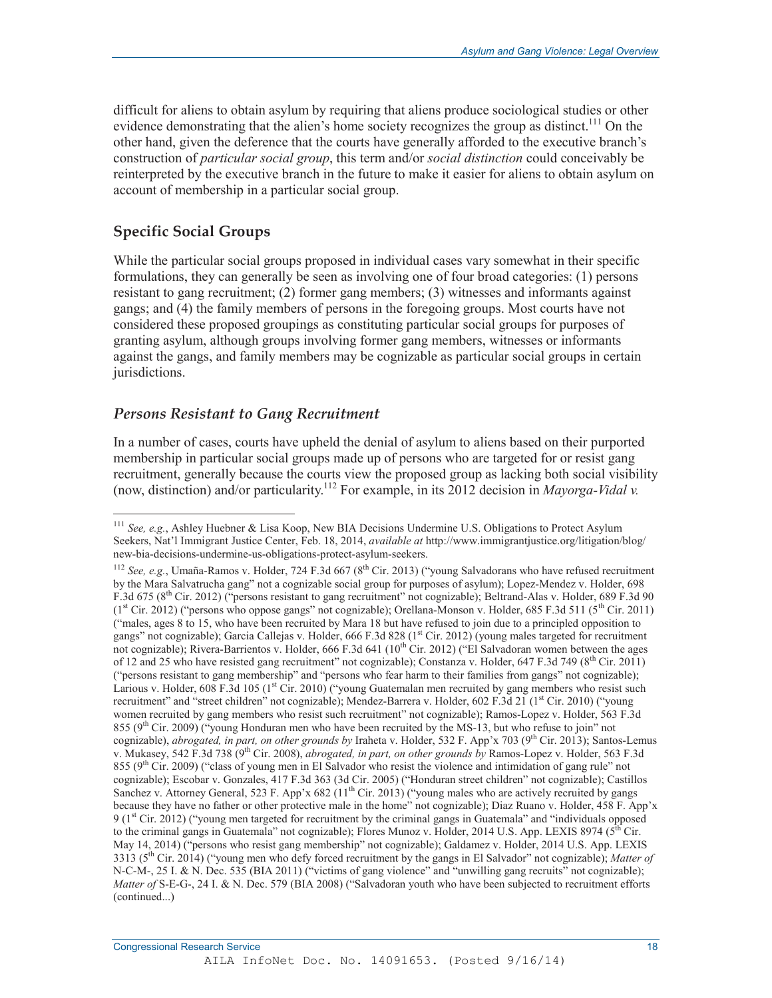difficult for aliens to obtain asylum by requiring that aliens produce sociological studies or other evidence demonstrating that the alien's home society recognizes the group as distinct.<sup>111</sup> On the other hand, given the deference that the courts have generally afforded to the executive branch's construction of *particular social group*, this term and/or *social distinction* could conceivably be reinterpreted by the executive branch in the future to make it easier for aliens to obtain asylum on account of membership in a particular social group.

## **Specific Social Groups**

-

While the particular social groups proposed in individual cases vary somewhat in their specific formulations, they can generally be seen as involving one of four broad categories: (1) persons resistant to gang recruitment; (2) former gang members; (3) witnesses and informants against gangs; and (4) the family members of persons in the foregoing groups. Most courts have not considered these proposed groupings as constituting particular social groups for purposes of granting asylum, although groups involving former gang members, witnesses or informants against the gangs, and family members may be cognizable as particular social groups in certain jurisdictions.

## *Persons Resistant to Gang Recruitment*

In a number of cases, courts have upheld the denial of asylum to aliens based on their purported membership in particular social groups made up of persons who are targeted for or resist gang recruitment, generally because the courts view the proposed group as lacking both social visibility (now, distinction) and/or particularity.112 For example, in its 2012 decision in *Mayorga-Vidal v.* 

<sup>111</sup> *See, e.g.*, Ashley Huebner & Lisa Koop, New BIA Decisions Undermine U.S. Obligations to Protect Asylum Seekers, Nat'l Immigrant Justice Center, Feb. 18, 2014, *available at* http://www.immigrantjustice.org/litigation/blog/ new-bia-decisions-undermine-us-obligations-protect-asylum-seekers.

<sup>&</sup>lt;sup>112</sup> *See, e.g.*, Umaña-Ramos v. Holder, 724 F.3d 667 (8<sup>th</sup> Cir. 2013) ("young Salvadorans who have refused recruitment by the Mara Salvatrucha gang" not a cognizable social group for purposes of asylum); Lopez-Mendez v. Holder, 698 F.3d 675 (8<sup>th</sup> Cir. 2012) ("persons resistant to gang recruitment" not cognizable); Beltrand-Alas v. Holder, 689 F.3d 90  $(1<sup>st</sup> Cir. 2012)$  ("persons who oppose gangs" not cognizable); Orellana-Monson v. Holder, 685 F.3d 511 (5<sup>th</sup> Cir. 2011) ("males, ages 8 to 15, who have been recruited by Mara 18 but have refused to join due to a principled opposition to gangs" not cognizable); Garcia Callejas v. Holder, 666 F.3d 828 ( $1<sup>st</sup>$  Cir. 2012) (young males targeted for recruitment not cognizable); Rivera-Barrientos v. Holder, 666 F.3d 641 ( $10^{th}$  Cir. 2012) ("El Salvadoran women between the ages of 12 and 25 who have resisted gang recruitment" not cognizable); Constanza v. Holder, 647 F.3d 749 ( $8^{th}$  Cir. 2011) ("persons resistant to gang membership" and "persons who fear harm to their families from gangs" not cognizable); Larious v. Holder, 608 F.3d 105 (1<sup>st</sup> Cir. 2010) ("young Guatemalan men recruited by gang members who resist such recruitment" and "street children" not cognizable); Mendez-Barrera v. Holder, 602 F.3d 21 (1<sup>st</sup> Cir. 2010) ("young women recruited by gang members who resist such recruitment" not cognizable); Ramos-Lopez v. Holder, 563 F.3d 855 (9<sup>th</sup> Cir. 2009) ("young Honduran men who have been recruited by the MS-13, but who refuse to join" not cognizable), *abrogated, in part, on other grounds by* Iraheta v. Holder, 532 F. App'x 703 (9th Cir. 2013); Santos-Lemus v. Mukasey, 542 F.3d 738 (9th Cir. 2008), *abrogated, in part, on other grounds by* Ramos-Lopez v. Holder, 563 F.3d 855 (9<sup>th</sup> Cir. 2009) ("class of young men in El Salvador who resist the violence and intimidation of gang rule" not cognizable); Escobar v. Gonzales, 417 F.3d 363 (3d Cir. 2005) ("Honduran street children" not cognizable); Castillos Sanchez v. Attorney General, 523 F. App'x 682 (11<sup>th</sup> Cir. 2013) ("young males who are actively recruited by gangs because they have no father or other protective male in the home" not cognizable); Diaz Ruano v. Holder, 458 F. App'x 9 ( $1<sup>st</sup> Cir. 2012$ ) ("young men targeted for recruitment by the criminal gangs in Guatemala" and "individuals opposed to the criminal gangs in Guatemala" not cognizable); Flores Munoz v. Holder, 2014 U.S. App. LEXIS 8974 ( $5<sup>th</sup>$  Cir. May 14, 2014) ("persons who resist gang membership" not cognizable); Galdamez v. Holder, 2014 U.S. App. LEXIS 3313 (5th Cir. 2014) ("young men who defy forced recruitment by the gangs in El Salvador" not cognizable); *Matter of*  N-C-M-, 25 I. & N. Dec. 535 (BIA 2011) ("victims of gang violence" and "unwilling gang recruits" not cognizable); *Matter of* S-E-G-, 24 I. & N. Dec. 579 (BIA 2008) ("Salvadoran youth who have been subjected to recruitment efforts (continued...)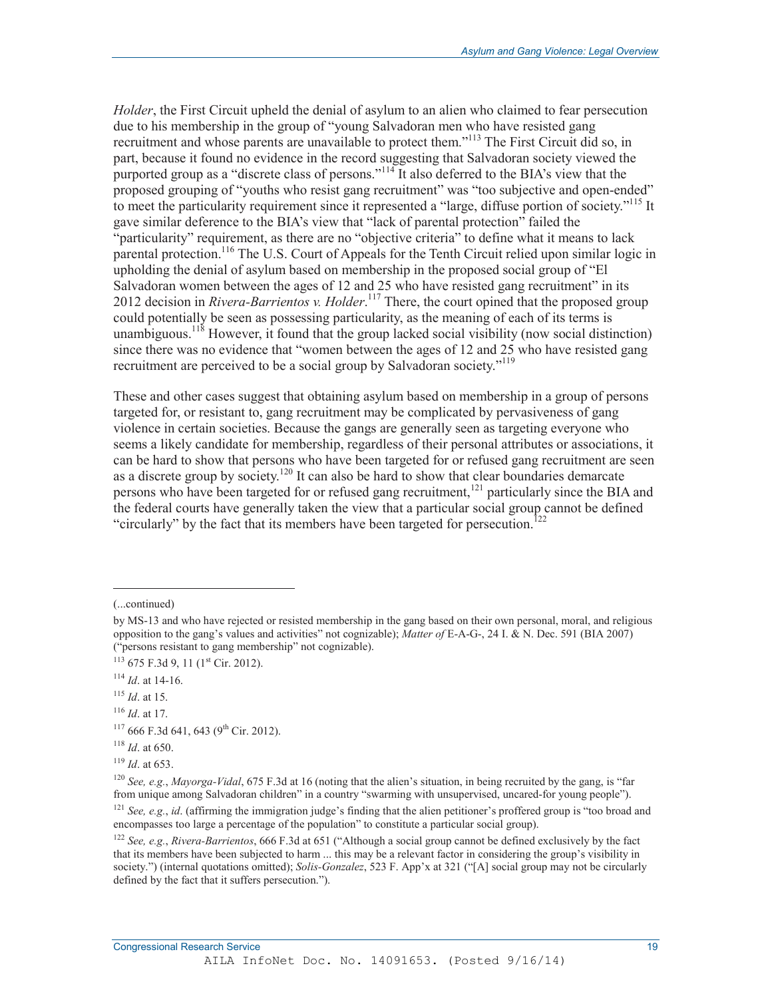*Holder*, the First Circuit upheld the denial of asylum to an alien who claimed to fear persecution due to his membership in the group of "young Salvadoran men who have resisted gang recruitment and whose parents are unavailable to protect them."<sup>113</sup> The First Circuit did so, in part, because it found no evidence in the record suggesting that Salvadoran society viewed the purported group as a "discrete class of persons."<sup>114</sup> It also deferred to the BIA's view that the proposed grouping of "youths who resist gang recruitment" was "too subjective and open-ended" to meet the particularity requirement since it represented a "large, diffuse portion of society."<sup>115</sup> It gave similar deference to the BIA's view that "lack of parental protection" failed the "particularity" requirement, as there are no "objective criteria" to define what it means to lack parental protection.<sup>116</sup> The U.S. Court of Appeals for the Tenth Circuit relied upon similar logic in upholding the denial of asylum based on membership in the proposed social group of "El Salvadoran women between the ages of 12 and 25 who have resisted gang recruitment" in its 2012 decision in *Rivera-Barrientos v. Holder*. 117 There, the court opined that the proposed group could potentially be seen as possessing particularity, as the meaning of each of its terms is unambiguous.<sup>118</sup> However, it found that the group lacked social visibility (now social distinction) since there was no evidence that "women between the ages of 12 and 25 who have resisted gang recruitment are perceived to be a social group by Salvadoran society."<sup>119</sup>

These and other cases suggest that obtaining asylum based on membership in a group of persons targeted for, or resistant to, gang recruitment may be complicated by pervasiveness of gang violence in certain societies. Because the gangs are generally seen as targeting everyone who seems a likely candidate for membership, regardless of their personal attributes or associations, it can be hard to show that persons who have been targeted for or refused gang recruitment are seen as a discrete group by society.<sup>120</sup> It can also be hard to show that clear boundaries demarcate persons who have been targeted for or refused gang recruitment,<sup>121</sup> particularly since the BIA and the federal courts have generally taken the view that a particular social group cannot be defined "circularly" by the fact that its members have been targeted for persecution.<sup>122</sup>

.

<sup>(...</sup>continued)

by MS-13 and who have rejected or resisted membership in the gang based on their own personal, moral, and religious opposition to the gang's values and activities" not cognizable); *Matter of* E-A-G-, 24 I. & N. Dec. 591 (BIA 2007) ("persons resistant to gang membership" not cognizable).

 $113$  675 F.3d 9, 11 ( $1$ <sup>st</sup> Cir. 2012).

<sup>114</sup> *Id*. at 14-16.

<sup>115</sup> *Id*. at 15.

<sup>116</sup> *Id*. at 17.

 $117666$  F.3d 641, 643 (9<sup>th</sup> Cir. 2012).

<sup>118</sup> *Id*. at 650.

<sup>119</sup> *Id*. at 653.

<sup>120</sup> *See, e.g.*, *Mayorga-Vidal*, 675 F.3d at 16 (noting that the alien's situation, in being recruited by the gang, is "far from unique among Salvadoran children" in a country "swarming with unsupervised, uncared-for young people").

<sup>&</sup>lt;sup>121</sup> See, e.g., *id.* (affirming the immigration judge's finding that the alien petitioner's proffered group is "too broad and encompasses too large a percentage of the population" to constitute a particular social group).

<sup>122</sup> *See, e.g.*, *Rivera-Barrientos*, 666 F.3d at 651 ("Although a social group cannot be defined exclusively by the fact that its members have been subjected to harm ... this may be a relevant factor in considering the group's visibility in society.") (internal quotations omitted); *Solis-Gonzalez*, 523 F. App'x at 321 ("[A] social group may not be circularly defined by the fact that it suffers persecution.").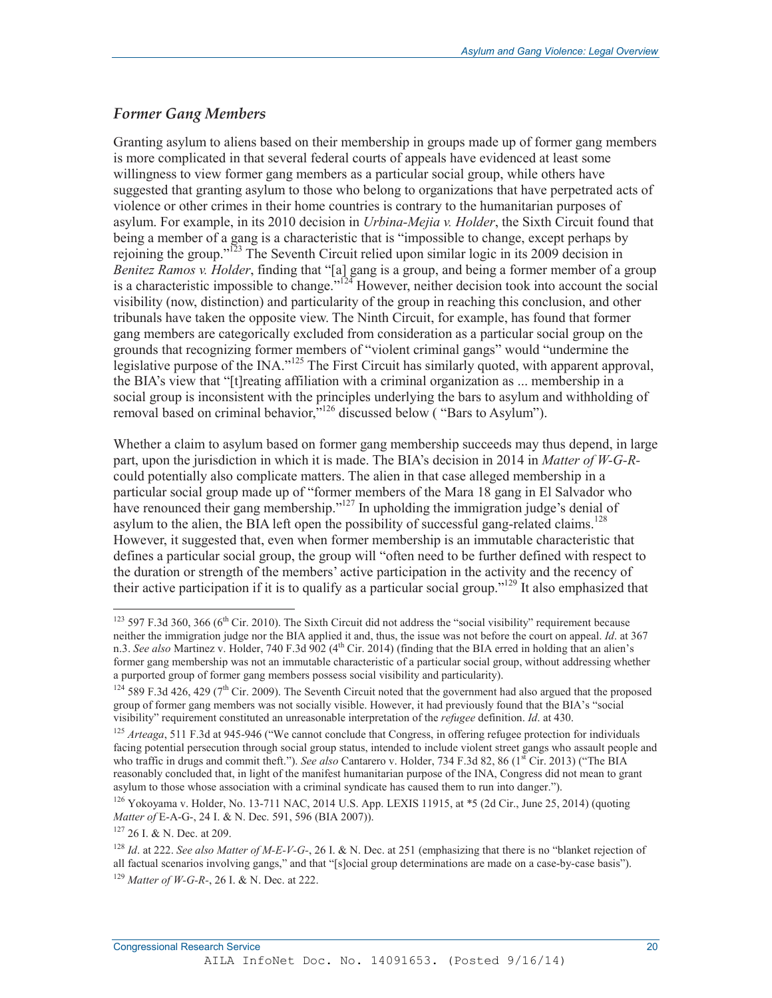## *Former Gang Members*

Granting asylum to aliens based on their membership in groups made up of former gang members is more complicated in that several federal courts of appeals have evidenced at least some willingness to view former gang members as a particular social group, while others have suggested that granting asylum to those who belong to organizations that have perpetrated acts of violence or other crimes in their home countries is contrary to the humanitarian purposes of asylum. For example, in its 2010 decision in *Urbina-Mejia v. Holder*, the Sixth Circuit found that being a member of a gang is a characteristic that is "impossible to change, except perhaps by rejoining the group."123 The Seventh Circuit relied upon similar logic in its 2009 decision in *Benitez Ramos v. Holder*, finding that "[a] gang is a group, and being a former member of a group is a characteristic impossible to change."124 However, neither decision took into account the social visibility (now, distinction) and particularity of the group in reaching this conclusion, and other tribunals have taken the opposite view. The Ninth Circuit, for example, has found that former gang members are categorically excluded from consideration as a particular social group on the grounds that recognizing former members of "violent criminal gangs" would "undermine the legislative purpose of the INA."125 The First Circuit has similarly quoted, with apparent approval, the BIA's view that "[t]reating affiliation with a criminal organization as ... membership in a social group is inconsistent with the principles underlying the bars to asylum and withholding of removal based on criminal behavior,"126 discussed below ( "Bars to Asylum").

Whether a claim to asylum based on former gang membership succeeds may thus depend, in large part, upon the jurisdiction in which it is made. The BIA's decision in 2014 in *Matter of W-G-R*could potentially also complicate matters. The alien in that case alleged membership in a particular social group made up of "former members of the Mara 18 gang in El Salvador who have renounced their gang membership."<sup>127</sup> In upholding the immigration judge's denial of asylum to the alien, the BIA left open the possibility of successful gang-related claims.<sup>128</sup> However, it suggested that, even when former membership is an immutable characteristic that defines a particular social group, the group will "often need to be further defined with respect to the duration or strength of the members' active participation in the activity and the recency of their active participation if it is to qualify as a particular social group."129 It also emphasized that

 $\overline{a}$ 

 $123$  597 F.3d 360, 366 (6<sup>th</sup> Cir. 2010). The Sixth Circuit did not address the "social visibility" requirement because neither the immigration judge nor the BIA applied it and, thus, the issue was not before the court on appeal. *Id*. at 367 n.3. See also Martinez v. Holder, 740 F.3d 902 (4<sup>th</sup> Cir. 2014) (finding that the BIA erred in holding that an alien's former gang membership was not an immutable characteristic of a particular social group, without addressing whether a purported group of former gang members possess social visibility and particularity).

 $124$  589 F.3d 426, 429 (7<sup>th</sup> Cir. 2009). The Seventh Circuit noted that the government had also argued that the proposed group of former gang members was not socially visible. However, it had previously found that the BIA's "social visibility" requirement constituted an unreasonable interpretation of the *refugee* definition. *Id*. at 430.

<sup>&</sup>lt;sup>125</sup> *Arteaga*, 511 F.3d at 945-946 ("We cannot conclude that Congress, in offering refugee protection for individuals facing potential persecution through social group status, intended to include violent street gangs who assault people and who traffic in drugs and commit theft."). *See also* Cantarero v. Holder, 734 F.3d 82, 86 (1<sup>st</sup> Cir. 2013) ("The BIA reasonably concluded that, in light of the manifest humanitarian purpose of the INA, Congress did not mean to grant asylum to those whose association with a criminal syndicate has caused them to run into danger.").

<sup>126</sup> Yokoyama v. Holder, No. 13-711 NAC, 2014 U.S. App. LEXIS 11915, at \*5 (2d Cir., June 25, 2014) (quoting *Matter of* E-A-G-, 24 I. & N. Dec. 591, 596 (BIA 2007)).

<sup>127 26</sup> I. & N. Dec. at 209.

<sup>128</sup> *Id*. at 222. *See also Matter of M-E-V-G-*, 26 I. & N. Dec. at 251 (emphasizing that there is no "blanket rejection of all factual scenarios involving gangs," and that "[s]ocial group determinations are made on a case-by-case basis"). <sup>129</sup> *Matter of W-G-R-*, 26 I. & N. Dec. at 222.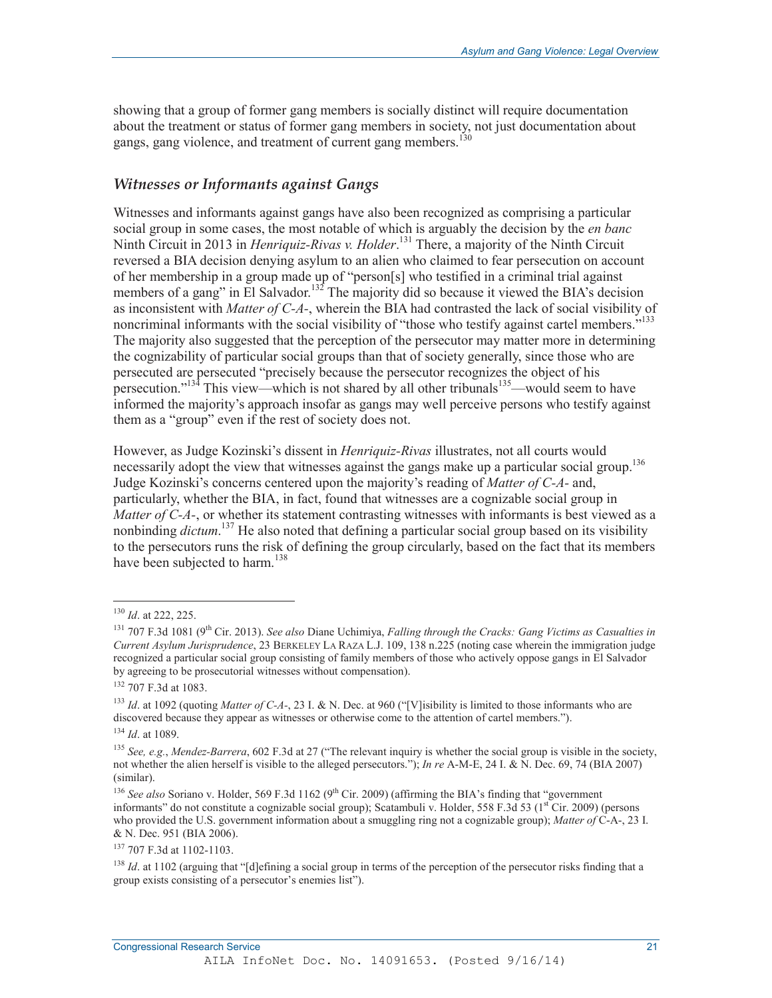showing that a group of former gang members is socially distinct will require documentation about the treatment or status of former gang members in society, not just documentation about gangs, gang violence, and treatment of current gang members.<sup>130</sup>

### *Witnesses or Informants against Gangs*

Witnesses and informants against gangs have also been recognized as comprising a particular social group in some cases, the most notable of which is arguably the decision by the *en banc*  Ninth Circuit in 2013 in *Henriquiz-Rivas v. Holder*. 131 There, a majority of the Ninth Circuit reversed a BIA decision denying asylum to an alien who claimed to fear persecution on account of her membership in a group made up of "person[s] who testified in a criminal trial against members of a gang" in El Salvador.<sup>132</sup> The majority did so because it viewed the BIA's decision as inconsistent with *Matter of C-A-*, wherein the BIA had contrasted the lack of social visibility of noncriminal informants with the social visibility of "those who testify against cartel members."<sup>133</sup> The majority also suggested that the perception of the persecutor may matter more in determining the cognizability of particular social groups than that of society generally, since those who are persecuted are persecuted "precisely because the persecutor recognizes the object of his persecution."<sup>134</sup> This view—which is not shared by all other tribunals<sup>135</sup>—would seem to have informed the majority's approach insofar as gangs may well perceive persons who testify against them as a "group" even if the rest of society does not.

However, as Judge Kozinski's dissent in *Henriquiz-Rivas* illustrates, not all courts would necessarily adopt the view that witnesses against the gangs make up a particular social group.<sup>136</sup> Judge Kozinski's concerns centered upon the majority's reading of *Matter of C-A-* and, particularly, whether the BIA, in fact, found that witnesses are a cognizable social group in *Matter of C-A-*, or whether its statement contrasting witnesses with informants is best viewed as a nonbinding *dictum*. 137 He also noted that defining a particular social group based on its visibility to the persecutors runs the risk of defining the group circularly, based on the fact that its members have been subjected to harm.<sup>138</sup>

 $\overline{a}$ 

137 707 F.3d at 1102-1103.

<sup>130</sup> *Id*. at 222, 225.

<sup>131 707</sup> F.3d 1081 (9th Cir. 2013). *See also* Diane Uchimiya, *Falling through the Cracks: Gang Victims as Casualties in Current Asylum Jurisprudence*, 23 BERKELEY LA RAZA L.J. 109, 138 n.225 (noting case wherein the immigration judge recognized a particular social group consisting of family members of those who actively oppose gangs in El Salvador by agreeing to be prosecutorial witnesses without compensation).

<sup>132 707</sup> F.3d at 1083.

<sup>133</sup> *Id*. at 1092 (quoting *Matter of C-A-*, 23 I. & N. Dec. at 960 ("[V]isibility is limited to those informants who are discovered because they appear as witnesses or otherwise come to the attention of cartel members.").

<sup>134</sup> *Id*. at 1089.

<sup>135</sup> *See, e.g.*, *Mendez-Barrera*, 602 F.3d at 27 ("The relevant inquiry is whether the social group is visible in the society, not whether the alien herself is visible to the alleged persecutors."); *In re* A-M-E, 24 I. & N. Dec. 69, 74 (BIA 2007) (similar).

<sup>&</sup>lt;sup>136</sup> *See also* Soriano v. Holder, 569 F.3d 1162 (9<sup>th</sup> Cir. 2009) (affirming the BIA's finding that "government" informants" do not constitute a cognizable social group); Scatambuli v. Holder, 558 F.3d 53 ( $1<sup>st</sup> Cir. 2009$ ) (persons who provided the U.S. government information about a smuggling ring not a cognizable group); *Matter of* C-A-, 23 I. & N. Dec. 951 (BIA 2006).

<sup>&</sup>lt;sup>138</sup> *Id.* at 1102 (arguing that "[d]efining a social group in terms of the perception of the persecutor risks finding that a group exists consisting of a persecutor's enemies list").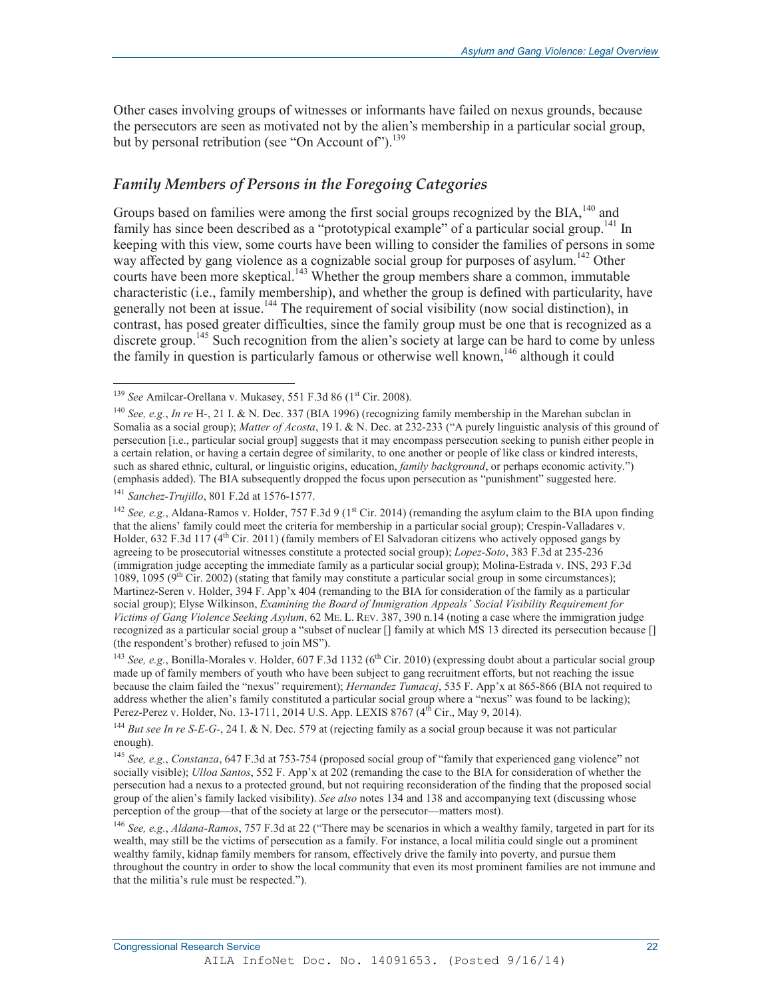Other cases involving groups of witnesses or informants have failed on nexus grounds, because the persecutors are seen as motivated not by the alien's membership in a particular social group, but by personal retribution (see "On Account of").<sup>139</sup>

## *Family Members of Persons in the Foregoing Categories*

Groups based on families were among the first social groups recognized by the BIA,<sup>140</sup> and family has since been described as a "prototypical example" of a particular social group.<sup>141</sup> In keeping with this view, some courts have been willing to consider the families of persons in some way affected by gang violence as a cognizable social group for purposes of asylum.<sup>142</sup> Other courts have been more skeptical.<sup>143</sup> Whether the group members share a common, immutable characteristic (i.e., family membership), and whether the group is defined with particularity, have generally not been at issue.<sup>144</sup> The requirement of social visibility (now social distinction), in contrast, has posed greater difficulties, since the family group must be one that is recognized as a discrete group.<sup>145</sup> Such recognition from the alien's society at large can be hard to come by unless the family in question is particularly famous or otherwise well known,  $146$  although it could

 $\overline{a}$ 

<sup>&</sup>lt;sup>139</sup> *See* Amilcar-Orellana v. Mukasey, 551 F.3d 86 (1<sup>st</sup> Cir. 2008).

<sup>140</sup> *See, e.g.*, *In re* H-, 21 I. & N. Dec. 337 (BIA 1996) (recognizing family membership in the Marehan subclan in Somalia as a social group); *Matter of Acosta*, 19 I. & N. Dec. at 232-233 ("A purely linguistic analysis of this ground of persecution [i.e., particular social group] suggests that it may encompass persecution seeking to punish either people in a certain relation, or having a certain degree of similarity, to one another or people of like class or kindred interests, such as shared ethnic, cultural, or linguistic origins, education, *family background*, or perhaps economic activity.") (emphasis added). The BIA subsequently dropped the focus upon persecution as "punishment" suggested here.

<sup>141</sup> *Sanchez-Trujillo*, 801 F.2d at 1576-1577.

<sup>&</sup>lt;sup>142</sup> See, e.g., Aldana-Ramos v. Holder, 757 F.3d 9 (1<sup>st</sup> Cir. 2014) (remanding the asylum claim to the BIA upon finding that the aliens' family could meet the criteria for membership in a particular social group); Crespin-Valladares v. Holder,  $632$  F.3d 117 ( $4<sup>th</sup>$  Cir. 2011) (family members of El Salvadoran citizens who actively opposed gangs by agreeing to be prosecutorial witnesses constitute a protected social group); *Lopez-Soto*, 383 F.3d at 235-236 (immigration judge accepting the immediate family as a particular social group); Molina-Estrada v. INS, 293 F.3d 1089, 1095 (9<sup>th</sup> Cir. 2002) (stating that family may constitute a particular social group in some circumstances); Martinez-Seren v. Holder, 394 F. App'x 404 (remanding to the BIA for consideration of the family as a particular social group); Elyse Wilkinson, *Examining the Board of Immigration Appeals' Social Visibility Requirement for Victims of Gang Violence Seeking Asylum*, 62 ME. L. REV. 387, 390 n.14 (noting a case where the immigration judge recognized as a particular social group a "subset of nuclear [] family at which MS 13 directed its persecution because [] (the respondent's brother) refused to join MS").

<sup>&</sup>lt;sup>143</sup> See, e.g., Bonilla-Morales v. Holder, 607 F.3d 1132 (6<sup>th</sup> Cir. 2010) (expressing doubt about a particular social group made up of family members of youth who have been subject to gang recruitment efforts, but not reaching the issue because the claim failed the "nexus" requirement); *Hernandez Tumacaj*, 535 F. App'x at 865-866 (BIA not required to address whether the alien's family constituted a particular social group where a "nexus" was found to be lacking); Perez-Perez v. Holder, No. 13-1711, 2014 U.S. App. LEXIS 8767 (4<sup>th</sup> Cir., May 9, 2014).

<sup>&</sup>lt;sup>144</sup> *But see In re S-E-G-*, 24 I. & N. Dec. 579 at (rejecting family as a social group because it was not particular enough).

<sup>145</sup> *See, e.g.*, *Constanza*, 647 F.3d at 753-754 (proposed social group of "family that experienced gang violence" not socially visible); *Ulloa Santos*, 552 F. App'x at 202 (remanding the case to the BIA for consideration of whether the persecution had a nexus to a protected ground, but not requiring reconsideration of the finding that the proposed social group of the alien's family lacked visibility). *See also* notes 134 and 138 and accompanying text (discussing whose perception of the group—that of the society at large or the persecutor—matters most).

<sup>146</sup> *See, e.g.*, *Aldana-Ramos*, 757 F.3d at 22 ("There may be scenarios in which a wealthy family, targeted in part for its wealth, may still be the victims of persecution as a family. For instance, a local militia could single out a prominent wealthy family, kidnap family members for ransom, effectively drive the family into poverty, and pursue them throughout the country in order to show the local community that even its most prominent families are not immune and that the militia's rule must be respected.").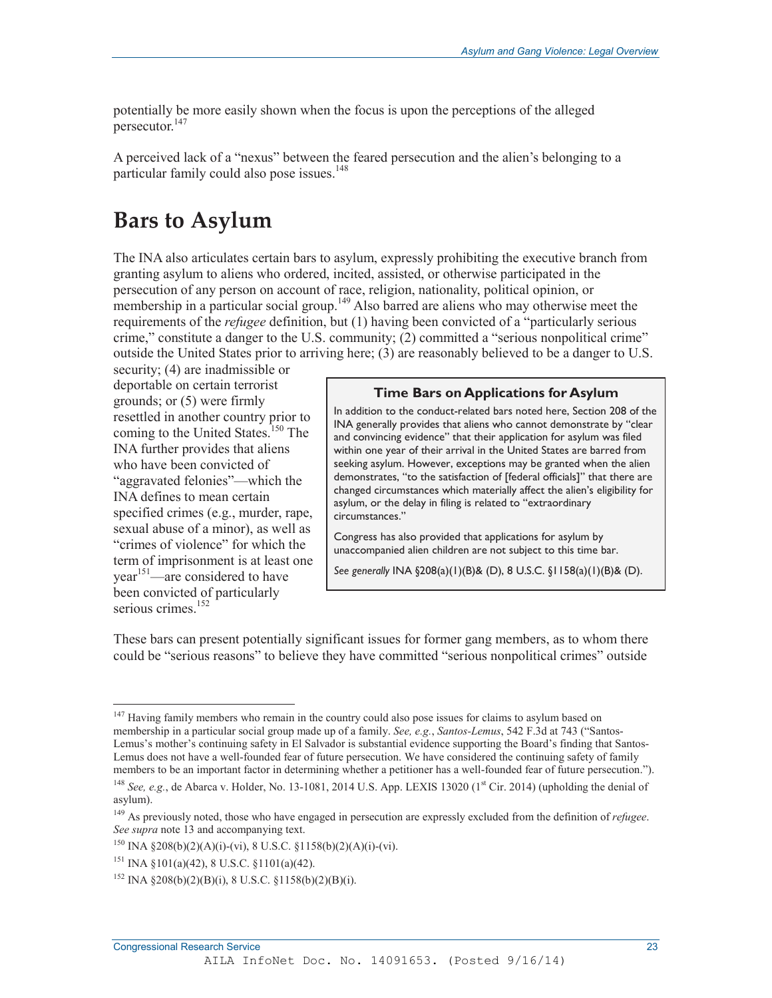potentially be more easily shown when the focus is upon the perceptions of the alleged  $persecutor.<sup>147</sup>$ 

A perceived lack of a "nexus" between the feared persecution and the alien's belonging to a particular family could also pose issues.<sup>148</sup>

## **Bars to Asylum**

The INA also articulates certain bars to asylum, expressly prohibiting the executive branch from granting asylum to aliens who ordered, incited, assisted, or otherwise participated in the persecution of any person on account of race, religion, nationality, political opinion, or membership in a particular social group.<sup>149</sup> Also barred are aliens who may otherwise meet the requirements of the *refugee* definition, but (1) having been convicted of a "particularly serious crime," constitute a danger to the U.S. community; (2) committed a "serious nonpolitical crime" outside the United States prior to arriving here; (3) are reasonably believed to be a danger to U.S.

security; (4) are inadmissible or deportable on certain terrorist grounds; or (5) were firmly resettled in another country prior to coming to the United States.<sup>150</sup> The INA further provides that aliens who have been convicted of "aggravated felonies"—which the INA defines to mean certain specified crimes (e.g., murder, rape, sexual abuse of a minor), as well as "crimes of violence" for which the term of imprisonment is at least one  $year<sup>151</sup>—are considered to have$ been convicted of particularly serious crimes.<sup>152</sup>

#### **Time Bars on Applications for Asylum**

In addition to the conduct-related bars noted here, Section 208 of the INA generally provides that aliens who cannot demonstrate by "clear and convincing evidence" that their application for asylum was filed within one year of their arrival in the United States are barred from seeking asylum. However, exceptions may be granted when the alien demonstrates, "to the satisfaction of [federal officials]" that there are changed circumstances which materially affect the alien's eligibility for asylum, or the delay in filing is related to "extraordinary circumstances."

Congress has also provided that applications for asylum by unaccompanied alien children are not subject to this time bar.

*See generally* INA §208(a)(1)(B)& (D), 8 U.S.C. §1158(a)(1)(B)& (D).

These bars can present potentially significant issues for former gang members, as to whom there could be "serious reasons" to believe they have committed "serious nonpolitical crimes" outside

<sup>&</sup>lt;sup>147</sup> Having family members who remain in the country could also pose issues for claims to asylum based on membership in a particular social group made up of a family. *See, e.g.*, *Santos-Lemus*, 542 F.3d at 743 ("Santos-Lemus's mother's continuing safety in El Salvador is substantial evidence supporting the Board's finding that Santos-Lemus does not have a well-founded fear of future persecution. We have considered the continuing safety of family members to be an important factor in determining whether a petitioner has a well-founded fear of future persecution.").

<sup>&</sup>lt;sup>148</sup> *See, e.g.*, de Abarca v. Holder, No. 13-1081, 2014 U.S. App. LEXIS 13020 (1<sup>st</sup> Cir. 2014) (upholding the denial of asylum).

<sup>149</sup> As previously noted, those who have engaged in persecution are expressly excluded from the definition of *refugee*. *See supra* note 13 and accompanying text.

<sup>150</sup> INA §208(b)(2)(A)(i)-(vi), 8 U.S.C. §1158(b)(2)(A)(i)-(vi).

<sup>&</sup>lt;sup>151</sup> INA §101(a)(42), 8 U.S.C. §1101(a)(42).

<sup>&</sup>lt;sup>152</sup> INA  $$208(b)(2)(B)(i)$ , 8 U.S.C.  $$1158(b)(2)(B)(i)$ .